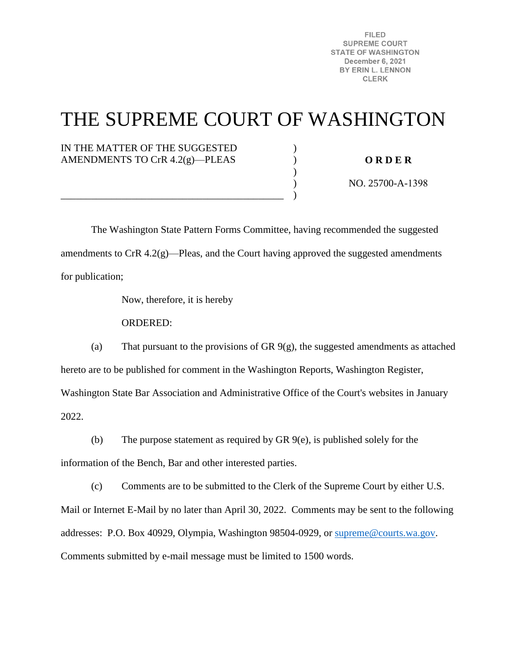**FILED SUPREME COURT STATE OF WASHINGTON December 6, 2021** BY ERIN L. LENNON **CLERK** 

# THE SUPREME COURT OF WASHINGTON

) ) )  $\lambda$ )

# IN THE MATTER OF THE SUGGESTED AMENDMENTS TO CrR 4.2(g)—PLEAS

**O R D E R** 

NO. 25700-A-1398

 The Washington State Pattern Forms Committee, having recommended the suggested amendments to CrR 4.2(g)—Pleas, and the Court having approved the suggested amendments for publication;

Now, therefore, it is hereby

\_\_\_\_\_\_\_\_\_\_\_\_\_\_\_\_\_\_\_\_\_\_\_\_\_\_\_\_\_\_\_\_\_\_\_\_\_\_\_\_\_\_\_\_

ORDERED:

(a) That pursuant to the provisions of GR 9(g), the suggested amendments as attached hereto are to be published for comment in the Washington Reports, Washington Register, Washington State Bar Association and Administrative Office of the Court's websites in January 2022.

(b) The purpose statement as required by GR 9(e), is published solely for the

information of the Bench, Bar and other interested parties.

(c) Comments are to be submitted to the Clerk of the Supreme Court by either U.S. Mail or Internet E-Mail by no later than April 30, 2022. Comments may be sent to the following addresses: P.O. Box 40929, Olympia, Washington 98504-0929, or [supreme@courts.wa.gov.](mailto:supreme@courts.wa.gov) Comments submitted by e-mail message must be limited to 1500 words.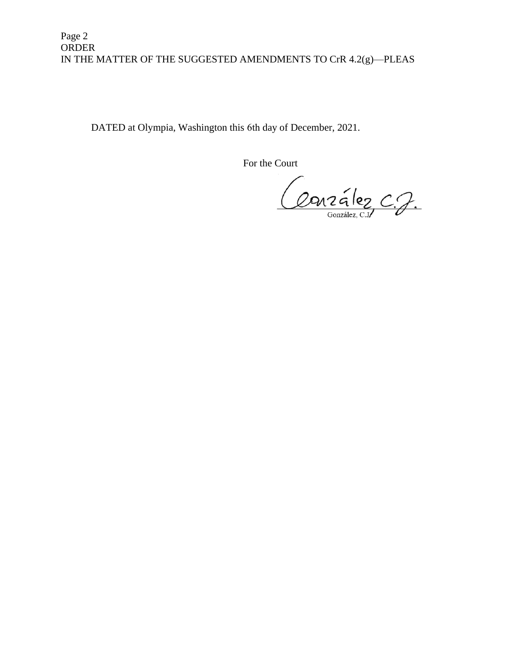DATED at Olympia, Washington this 6th day of December, 2021.

For the Court

Conzález C.J.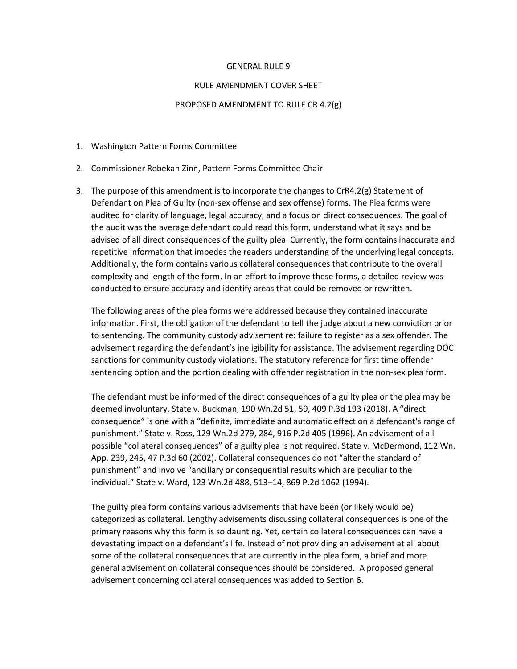#### GENERAL RULE 9

#### RULE AMENDMENT COVER SHEET

#### PROPOSED AMENDMENT TO RULE CR 4.2(g)

- 1. Washington Pattern Forms Committee
- 2. Commissioner Rebekah Zinn, Pattern Forms Committee Chair
- 3. The purpose of this amendment is to incorporate the changes to  $CrR4.2(g)$  Statement of Defendant on Plea of Guilty (non-sex offense and sex offense) forms. The Plea forms were audited for clarity of language, legal accuracy, and a focus on direct consequences. The goal of the audit was the average defendant could read this form, understand what it says and be advised of all direct consequences of the guilty plea. Currently, the form contains inaccurate and repetitive information that impedes the readers understanding of the underlying legal concepts. Additionally, the form contains various collateral consequences that contribute to the overall complexity and length of the form. In an effort to improve these forms, a detailed review was conducted to ensure accuracy and identify areas that could be removed or rewritten.

The following areas of the plea forms were addressed because they contained inaccurate information. First, the obligation of the defendant to tell the judge about a new conviction prior to sentencing. The community custody advisement re: failure to register as a sex offender. The advisement regarding the defendant's ineligibility for assistance. The advisement regarding DOC sanctions for community custody violations. The statutory reference for first time offender sentencing option and the portion dealing with offender registration in the non-sex plea form.

The defendant must be informed of the direct consequences of a guilty plea or the plea may be deemed involuntary. State v. Buckman, 190 Wn.2d 51, 59, 409 P.3d 193 (2018). A "direct consequence" is one with a "definite, immediate and automatic effect on a defendant's range of punishment." State v. Ross, 129 Wn.2d 279, 284, 916 P.2d 405 (1996). An advisement of all possible "collateral consequences" of a guilty plea is not required. State v. McDermond, 112 Wn. App. 239, 245, 47 P.3d 60 (2002). Collateral consequences do not "alter the standard of punishment" and involve "ancillary or consequential results which are peculiar to the individual." State v. Ward, 123 Wn.2d 488, 513–14, 869 P.2d 1062 (1994).

The guilty plea form contains various advisements that have been (or likely would be) categorized as collateral. Lengthy advisements discussing collateral consequences is one of the primary reasons why this form is so daunting. Yet, certain collateral consequences can have a devastating impact on a defendant's life. Instead of not providing an advisement at all about some of the collateral consequences that are currently in the plea form, a brief and more general advisement on collateral consequences should be considered. A proposed general advisement concerning collateral consequences was added to Section 6.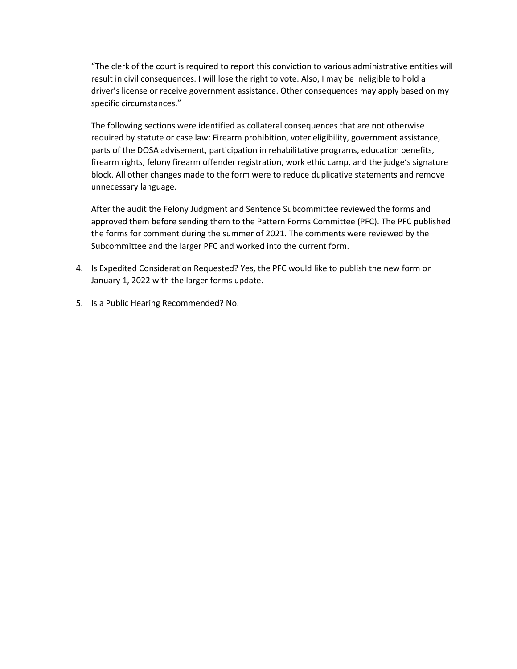"The clerk of the court is required to report this conviction to various administrative entities will result in civil consequences. I will lose the right to vote. Also, I may be ineligible to hold a driver's license or receive government assistance. Other consequences may apply based on my specific circumstances."

The following sections were identified as collateral consequences that are not otherwise required by statute or case law: Firearm prohibition, voter eligibility, government assistance, parts of the DOSA advisement, participation in rehabilitative programs, education benefits, firearm rights, felony firearm offender registration, work ethic camp, and the judge's signature block. All other changes made to the form were to reduce duplicative statements and remove unnecessary language.

After the audit the Felony Judgment and Sentence Subcommittee reviewed the forms and approved them before sending them to the Pattern Forms Committee (PFC). The PFC published the forms for comment during the summer of 2021. The comments were reviewed by the Subcommittee and the larger PFC and worked into the current form.

- 4. Is Expedited Consideration Requested? Yes, the PFC would like to publish the new form on January 1, 2022 with the larger forms update.
- 5. Is a Public Hearing Recommended? No.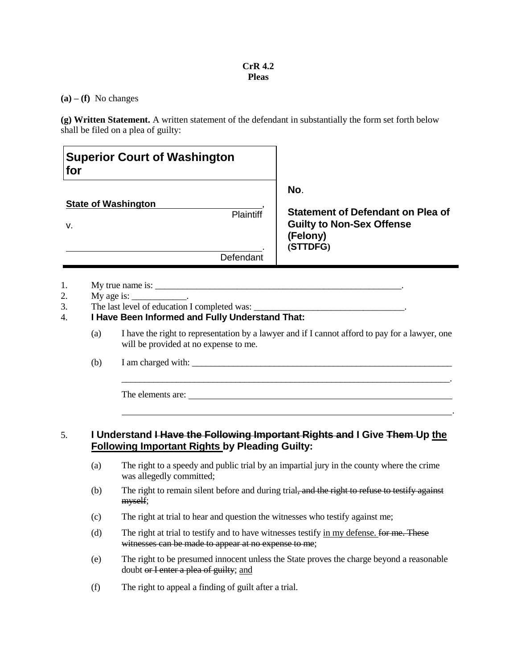#### **CrR 4.2 Pleas**

 $(a) - (f)$  No changes

**(g) Written Statement.** A written statement of the defendant in substantially the form set forth below shall be filed on a plea of guilty:

| <b>Superior Court of Washington</b><br>for |                                                                                                                                                                     |                                                                                                             |  |  |
|--------------------------------------------|---------------------------------------------------------------------------------------------------------------------------------------------------------------------|-------------------------------------------------------------------------------------------------------------|--|--|
| v.                                         | <b>State of Washington</b><br><b>Plaintiff</b>                                                                                                                      | No.<br><b>Statement of Defendant on Plea of</b><br><b>Guilty to Non-Sex Offense</b><br>(Felony)<br>(STTDFG) |  |  |
|                                            | Defendant                                                                                                                                                           |                                                                                                             |  |  |
| 1.<br>2.<br>3.<br>4.<br>(a)                | My true name is:<br>My age is: $\_\_\_\_\_\_\_\_\_\_\_\_\_\_\.\$<br>The last level of education I completed was:<br>I Have Been Informed and Fully Understand That: | I have the right to representation by a lawyer and if I cannot afford to pay for a lawyer, one              |  |  |

(b) I am charged with: \_\_\_\_\_\_\_\_\_\_\_\_\_\_\_\_\_\_\_\_\_\_\_\_\_\_\_\_\_\_\_\_\_\_\_\_\_\_\_\_\_\_\_\_\_\_\_\_\_\_\_\_\_\_\_\_\_

The elements are:

# 5. **I Understand I Have the Following Important Rights and I Give Them Up the Following Important Rights by Pleading Guilty:**

(a) The right to a speedy and public trial by an impartial jury in the county where the crime was allegedly committed;

\_\_\_\_\_\_\_\_\_\_\_\_\_\_\_\_\_\_\_\_\_\_\_\_\_\_\_\_\_\_\_\_\_\_\_\_\_\_\_\_\_\_\_\_\_\_\_\_\_\_\_\_\_\_\_\_\_\_\_\_\_\_\_\_\_\_\_\_\_\_\_\_.

.

- (b) The right to remain silent before and during trial, and the right to refuse to testify against myself;
- (c) The right at trial to hear and question the witnesses who testify against me;
- (d) The right at trial to testify and to have witnesses testify  $\frac{1}{2}$  m my defense. for me. These witnesses can be made to appear at no expense to me;
- (e) The right to be presumed innocent unless the State proves the charge beyond a reasonable doubt or I enter a plea of guilty; and
- (f) The right to appeal a finding of guilt after a trial.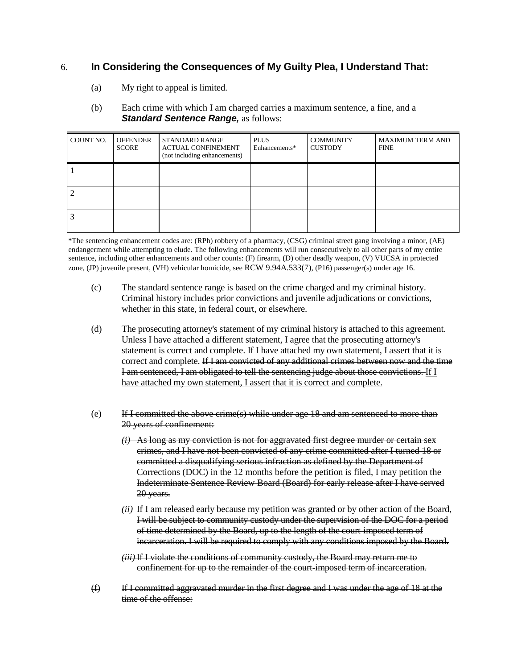# 6. **In Considering the Consequences of My Guilty Plea, I Understand That:**

(a) My right to appeal is limited.

#### (b) Each crime with which I am charged carries a maximum sentence, a fine, and a *Standard Sentence Range, as follows:*

| COUNT NO. | <b>OFFENDER</b><br><b>SCORE</b> | STANDARD RANGE<br><b>ACTUAL CONFINEMENT</b><br>(not including enhancements) | <b>PLUS</b><br>Enhancements* | <b>COMMUNITY</b><br><b>CUSTODY</b> | <b>MAXIMUM TERM AND</b><br><b>FINE</b> |
|-----------|---------------------------------|-----------------------------------------------------------------------------|------------------------------|------------------------------------|----------------------------------------|
|           |                                 |                                                                             |                              |                                    |                                        |
|           |                                 |                                                                             |                              |                                    |                                        |
|           |                                 |                                                                             |                              |                                    |                                        |

\*The sentencing enhancement codes are: (RPh) robbery of a pharmacy, (CSG) criminal street gang involving a minor, (AE) endangerment while attempting to elude. The following enhancements will run consecutively to all other parts of my entire sentence, including other enhancements and other counts: (F) firearm, (D) other deadly weapon, (V) VUCSA in protected zone, (JP) juvenile present, (VH) vehicular homicide, see RCW 9.94A.533(7), (P16) passenger(s) under age 16.

- (c) The standard sentence range is based on the crime charged and my criminal history. Criminal history includes prior convictions and juvenile adjudications or convictions, whether in this state, in federal court, or elsewhere.
- (d) The prosecuting attorney's statement of my criminal history is attached to this agreement. Unless I have attached a different statement, I agree that the prosecuting attorney's statement is correct and complete. If I have attached my own statement, I assert that it is correct and complete. If I am convicted of any additional crimes between now and the time I am sentenced, I am obligated to tell the sentencing judge about those convictions. If I have attached my own statement, I assert that it is correct and complete.
- (e) If I committed the above crime(s) while under age 18 and am sentenced to more than 20 years of confinement:
	- *(i)* As long as my conviction is not for aggravated first degree murder or certain sex crimes, and I have not been convicted of any crime committed after I turned 18 or committed a disqualifying serious infraction as defined by the Department of Corrections (DOC) in the 12 months before the petition is filed, I may petition the Indeterminate Sentence Review Board (Board) for early release after I have served 20 years.
	- *(ii)* If I am released early because my petition was granted or by other action of the Board, I will be subject to community custody under the supervision of the DOC for a period of time determined by the Board, up to the length of the court-imposed term of incarceration. I will be required to comply with any conditions imposed by the Board.
	- *(iii)*If I violate the conditions of community custody, the Board may return me to confinement for up to the remainder of the court-imposed term of incarceration.
- (f) If I committed aggravated murder in the first degree and I was under the age of 18 at the time of the offense: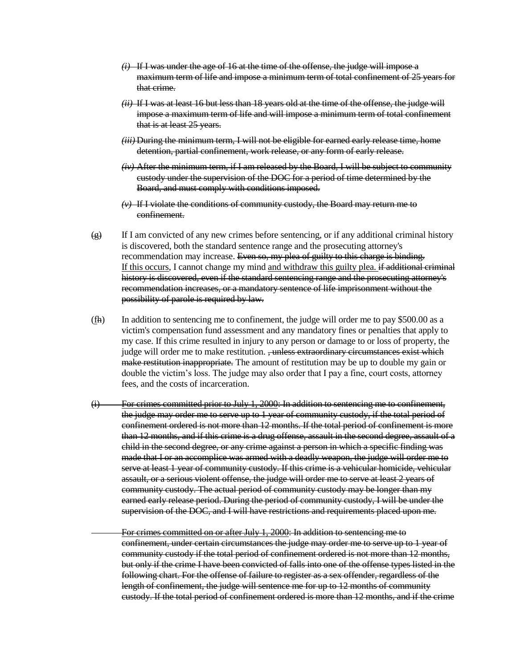- *(i)* If I was under the age of 16 at the time of the offense, the judge will impose a maximum term of life and impose a minimum term of total confinement of 25 years for that crime.
- *(ii)* If I was at least 16 but less than 18 years old at the time of the offense, the judge will impose a maximum term of life and will impose a minimum term of total confinement that is at least 25 years.
- *(iii)* During the minimum term, I will not be eligible for earned early release time, home detention, partial confinement, work release, or any form of early release.
- *(iv)* After the minimum term, if I am released by the Board, I will be subject to community custody under the supervision of the DOC for a period of time determined by the Board, and must comply with conditions imposed.
- *(v)* If I violate the conditions of community custody, the Board may return me to confinement.
- $\left(\frac{\Theta}{\Theta}\right)$  If I am convicted of any new crimes before sentencing, or if any additional criminal history is discovered, both the standard sentence range and the prosecuting attorney's recommendation may increase. Even so, my plea of guilty to this charge is binding. If this occurs, I cannot change my mind and withdraw this guilty plea. if additional criminal history is discovered, even if the standard sentencing range and the prosecuting attorney's recommendation increases, or a mandatory sentence of life imprisonment without the possibility of parole is required by law.
- (fh) In addition to sentencing me to confinement, the judge will order me to pay \$500.00 as a victim's compensation fund assessment and any mandatory fines or penalties that apply to my case. If this crime resulted in injury to any person or damage to or loss of property, the judge will order me to make restitution. , unless extraordinary circumstances exist which make restitution inappropriate. The amount of restitution may be up to double my gain or double the victim's loss. The judge may also order that I pay a fine, court costs, attorney fees, and the costs of incarceration.
- (i) For crimes committed prior to July 1, 2000: In addition to sentencing me to confinement, the judge may order me to serve up to 1 year of community custody, if the total period of confinement ordered is not more than 12 months. If the total period of confinement is more than 12 months, and if this crime is a drug offense, assault in the second degree, assault of a child in the second degree, or any crime against a person in which a specific finding was made that I or an accomplice was armed with a deadly weapon, the judge will order me to serve at least 1 year of community custody. If this crime is a vehicular homicide, vehicular assault, or a serious violent offense, the judge will order me to serve at least 2 years of community custody. The actual period of community custody may be longer than my earned early release period. During the period of community custody, I will be under the supervision of the DOC, and I will have restrictions and requirements placed upon me.

For crimes committed on or after July 1, 2000: In addition to sentencing me to confinement, under certain circumstances the judge may order me to serve up to 1 year of community custody if the total period of confinement ordered is not more than 12 months, but only if the crime I have been convicted of falls into one of the offense types listed in the following chart. For the offense of failure to register as a sex offender, regardless of the length of confinement, the judge will sentence me for up to 12 months of community custody. If the total period of confinement ordered is more than 12 months, and if the crime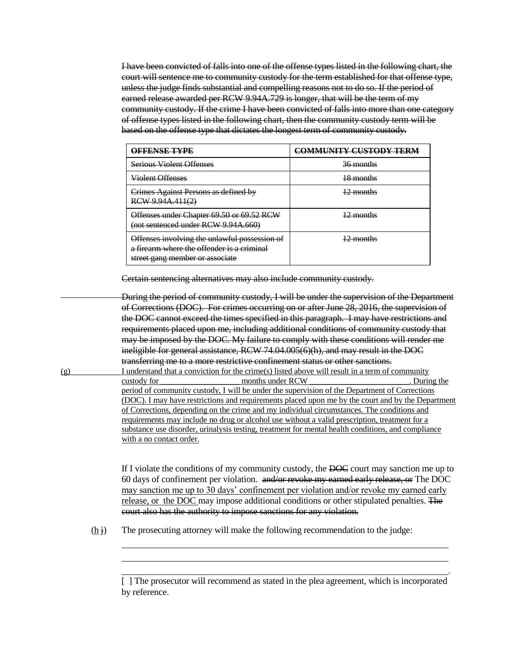I have been convicted of falls into one of the offense types listed in the following chart, the court will sentence me to community custody for the term established for that offense type, unless the judge finds substantial and compelling reasons not to do so. If the period of earned release awarded per RCW 9.94A.729 is longer, that will be the term of my community custody. If the crime I have been convicted of falls into more than one category of offense types listed in the following chart, then the community custody term will be based on the offense type that dictates the longest term of community custody.

| AFFFNSF TVDF                                                                                                                   | MUNITY CHETODY TE        |
|--------------------------------------------------------------------------------------------------------------------------------|--------------------------|
| <b>Serious Violent Offenses</b>                                                                                                | <del>36 months</del>     |
| <del>Violent Offenses</del>                                                                                                    | 18 months                |
| Crimes Against Persons as defined by<br>RCW 9.94A.411(2)                                                                       | $2$ months               |
| Offenses under Chapter 69.50 or 69.52 RCW<br>(not sentenced under RCW 9.94A.660)                                               | monthe<br>. <del>.</del> |
| Offenses involving the unlawful possession of<br>a firearm where the offender is a criminal<br>street gang member or associate | <del>2 months</del>      |

Certain sentencing alternatives may also include community custody.

During the period of community custody, I will be under the supervision of the Department of Corrections (DOC). For crimes occurring on or after June 28, 2016, the supervision of the DOC cannot exceed the times specified in this paragraph. I may have restrictions and requirements placed upon me, including additional conditions of community custody that may be imposed by the DOC. My failure to comply with these conditions will render me ineligible for general assistance, RCW 74.04.005(6)(h), and may result in the DOC transferring me to a more restrictive confinement status or other sanctions. (g) I understand that a conviction for the crime(s) listed above will result in a term of community custody for \_\_\_\_\_\_\_\_\_\_\_\_\_\_\_\_\_\_\_ months under RCW \_\_\_\_\_\_\_\_\_\_\_\_\_\_\_\_\_\_\_\_\_\_\_\_. During the period of community custody, I will be under the supervision of the Department of Corrections (DOC). I may have restrictions and requirements placed upon me by the court and by the Department of Corrections, depending on the crime and my individual circumstances. The conditions and requirements may include no drug or alcohol use without a valid prescription, treatment for a substance use disorder, urinalysis testing, treatment for mental health conditions, and compliance with a no contact order.

> If I violate the conditions of my community custody, the DOC court may sanction me up to 60 days of confinement per violation. and/or revoke my earned early release, or The DOC may sanction me up to 30 days' confinement per violation and/or revoke my earned early release, or the DOC may impose additional conditions or other stipulated penalties. The court also has the authority to impose sanctions for any violation.

 $(h<sub>i</sub>)$  The prosecuting attorney will make the following recommendation to the judge:

.

<sup>[ ]</sup> The prosecutor will recommend as stated in the plea agreement, which is incorporated by reference.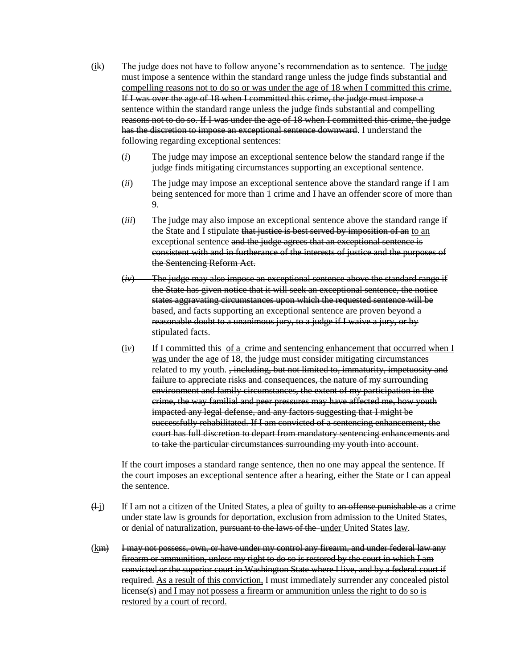- (ik) The judge does not have to follow anyone's recommendation as to sentence. The judge must impose a sentence within the standard range unless the judge finds substantial and compelling reasons not to do so or was under the age of 18 when I committed this crime. If I was over the age of 18 when I committed this crime, the judge must impose a sentence within the standard range unless the judge finds substantial and compelling reasons not to do so. If I was under the age of 18 when I committed this crime, the judge has the discretion to impose an exceptional sentence downward. I understand the following regarding exceptional sentences:
	- (*i*) The judge may impose an exceptional sentence below the standard range if the judge finds mitigating circumstances supporting an exceptional sentence.
	- (*ii*) The judge may impose an exceptional sentence above the standard range if I am being sentenced for more than 1 crime and I have an offender score of more than 9.
	- (*iii*) The judge may also impose an exceptional sentence above the standard range if the State and I stipulate that justice is best served by imposition of an to an exceptional sentence and the judge agrees that an exceptional sentence is consistent with and in furtherance of the interests of justice and the purposes of the Sentencing Reform Act.
	- (*iv*) The judge may also impose an exceptional sentence above the standard range if the State has given notice that it will seek an exceptional sentence, the notice states aggravating circumstances upon which the requested sentence will be based, and facts supporting an exceptional sentence are proven beyond a reasonable doubt to a unanimous jury, to a judge if I waive a jury, or by stipulated facts.
	- $(iv)$  If I committed this of a crime and sentencing enhancement that occurred when I was under the age of 18, the judge must consider mitigating circumstances related to my youth. <del>, including, but not limited to, immaturity, impetuosity and</del> failure to appreciate risks and consequences, the nature of my surrounding environment and family circumstances, the extent of my participation in the crime, the way familial and peer pressures may have affected me, how youth impacted any legal defense, and any factors suggesting that I might be successfully rehabilitated. If I am convicted of a sentencing enhancement, the court has full discretion to depart from mandatory sentencing enhancements and to take the particular circumstances surrounding my youth into account.

If the court imposes a standard range sentence, then no one may appeal the sentence. If the court imposes an exceptional sentence after a hearing, either the State or I can appeal the sentence.

- $\frac{d^2}{dx^2}$  If I am not a citizen of the United States, a plea of guilty to an offense punishable as a crime under state law is grounds for deportation, exclusion from admission to the United States, or denial of naturalization, pursuant to the laws of the under United States law.
- (km) I may not possess, own, or have under my control any firearm, and under federal law any firearm or ammunition, unless my right to do so is restored by the court in which I am convicted or the superior court in Washington State where I live, and by a federal court if required. As a result of this conviction, I must immediately surrender any concealed pistol license(s) and I may not possess a firearm or ammunition unless the right to do so is restored by a court of record.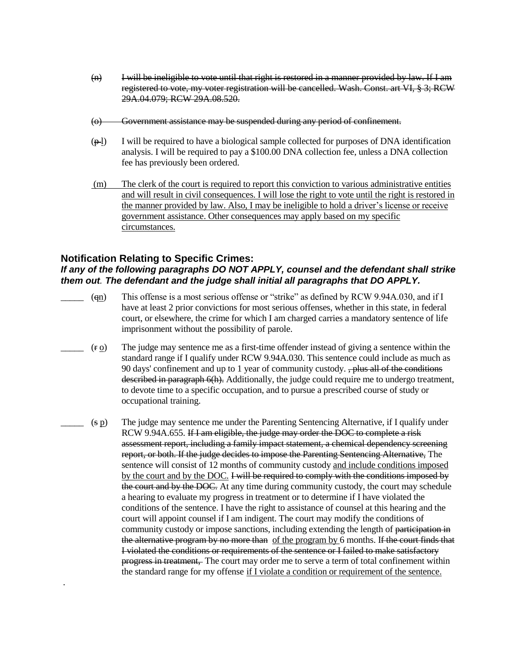- $(n)$  I will be ineligible to vote until that right is restored in a manner provided by law. If I am registered to vote, my voter registration will be cancelled. Wash. Const. art VI, § 3; RCW 29A.04.079; RCW 29A.08.520.
- (o) Government assistance may be suspended during any period of confinement.
- $(\frac{\varphi}{\psi})$  I will be required to have a biological sample collected for purposes of DNA identification analysis. I will be required to pay a \$100.00 DNA collection fee, unless a DNA collection fee has previously been ordered.
- (m) The clerk of the court is required to report this conviction to various administrative entities and will result in civil consequences. I will lose the right to vote until the right is restored in the manner provided by law. Also, I may be ineligible to hold a driver's license or receive government assistance. Other consequences may apply based on my specific circumstances.

#### **Notification Relating to Specific Crimes:**  *If any of the following paragraphs DO NOT APPLY, counsel and the defendant shall strike them out. The defendant and the judge shall initial all paragraphs that DO APPLY.*

- $(qn)$  This offense is a most serious offense or "strike" as defined by RCW 9.94A.030, and if I have at least 2 prior convictions for most serious offenses, whether in this state, in federal court, or elsewhere, the crime for which I am charged carries a mandatory sentence of life imprisonment without the possibility of parole.
- $(r \Omega)$  The judge may sentence me as a first-time offender instead of giving a sentence within the standard range if I qualify under RCW 9.94A.030. This sentence could include as much as 90 days' confinement and up to 1 year of community custody.  $\frac{1}{2}$  plus all of the conditions described in paragraph 6(h). Additionally, the judge could require me to undergo treatment, to devote time to a specific occupation, and to pursue a prescribed course of study or occupational training.
- $\Box$  (s  $p$ ) The judge may sentence me under the Parenting Sentencing Alternative, if I qualify under RCW 9.94A.655. If I am eligible, the judge may order the DOC to complete a risk assessment report, including a family impact statement, a chemical dependency screening report, or both. If the judge decides to impose the Parenting Sentencing Alternative, The sentence will consist of 12 months of community custody and include conditions imposed by the court and by the DOC. I will be required to comply with the conditions imposed by the court and by the DOC. At any time during community custody, the court may schedule a hearing to evaluate my progress in treatment or to determine if I have violated the conditions of the sentence. I have the right to assistance of counsel at this hearing and the court will appoint counsel if I am indigent. The court may modify the conditions of community custody or impose sanctions, including extending the length of participation in the alternative program by no more than of the program by 6 months. If the court finds that I violated the conditions or requirements of the sentence or I failed to make satisfactory progress in treatment, The court may order me to serve a term of total confinement within the standard range for my offense if I violate a condition or requirement of the sentence.

.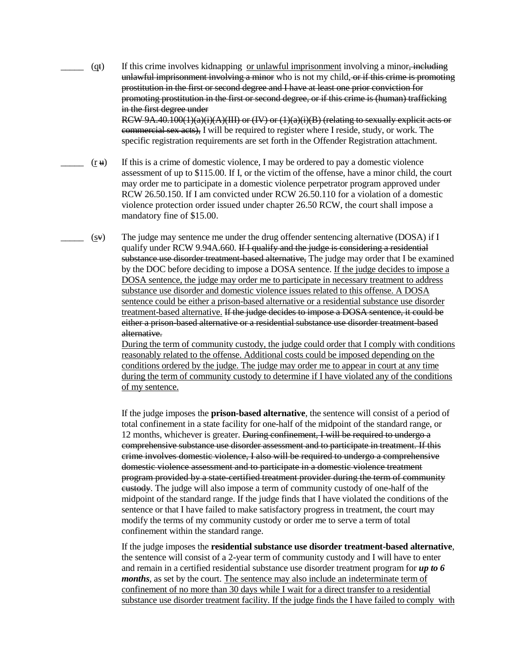$(qt)$  If this crime involves kidnapping or unlawful imprisonment involving a minor, including unlawful imprisonment involving a minor who is not my child, or if this crime is promoting prostitution in the first or second degree and I have at least one prior conviction for promoting prostitution in the first or second degree, or if this crime is (human) trafficking in the first degree under

RCW 9A.40.100(1)(a)(i)(A)(III) or (IV) or (1)(a)(i)(B) (relating to sexually explicit acts or commercial sex acts), I will be required to register where I reside, study, or work. The specific registration requirements are set forth in the Offender Registration attachment.

- $(r +)$  If this is a crime of domestic violence, I may be ordered to pay a domestic violence assessment of up to \$115.00. If I, or the victim of the offense, have a minor child, the court may order me to participate in a domestic violence perpetrator program approved under RCW 26.50.150. If I am convicted under RCW 26.50.110 for a violation of a domestic violence protection order issued under chapter 26.50 RCW, the court shall impose a mandatory fine of \$15.00.
	- $(sv)$  The judge may sentence me under the drug offender sentencing alternative (DOSA) if I qualify under RCW 9.94A.660. If I qualify and the judge is considering a residential substance use disorder treatment-based alternative. The judge may order that I be examined by the DOC before deciding to impose a DOSA sentence. If the judge decides to impose a DOSA sentence, the judge may order me to participate in necessary treatment to address substance use disorder and domestic violence issues related to this offense. A DOSA sentence could be either a prison-based alternative or a residential substance use disorder treatment-based alternative. If the judge decides to impose a DOSA sentence, it could be either a prison-based alternative or a residential substance use disorder treatment-based alternative.

During the term of community custody, the judge could order that I comply with conditions reasonably related to the offense. Additional costs could be imposed depending on the conditions ordered by the judge. The judge may order me to appear in court at any time during the term of community custody to determine if I have violated any of the conditions of my sentence.

If the judge imposes the **prison-based alternative**, the sentence will consist of a period of total confinement in a state facility for one-half of the midpoint of the standard range, or 12 months, whichever is greater. <del>During confinement, I will be required to undergo a</del> comprehensive substance use disorder assessment and to participate in treatment. If this crime involves domestic violence, I also will be required to undergo a comprehensive domestic violence assessment and to participate in a domestic violence treatment program provided by a state-certified treatment provider during the term of community eustody. The judge will also impose a term of community custody of one-half of the midpoint of the standard range. If the judge finds that I have violated the conditions of the sentence or that I have failed to make satisfactory progress in treatment, the court may modify the terms of my community custody or order me to serve a term of total confinement within the standard range.

If the judge imposes the **residential substance use disorder treatment-based alternative**, the sentence will consist of a 2-year term of community custody and I will have to enter and remain in a certified residential substance use disorder treatment program for *up to 6 months*, as set by the court. The sentence may also include an indeterminate term of confinement of no more than 30 days while I wait for a direct transfer to a residential substance use disorder treatment facility. If the judge finds the I have failed to comply with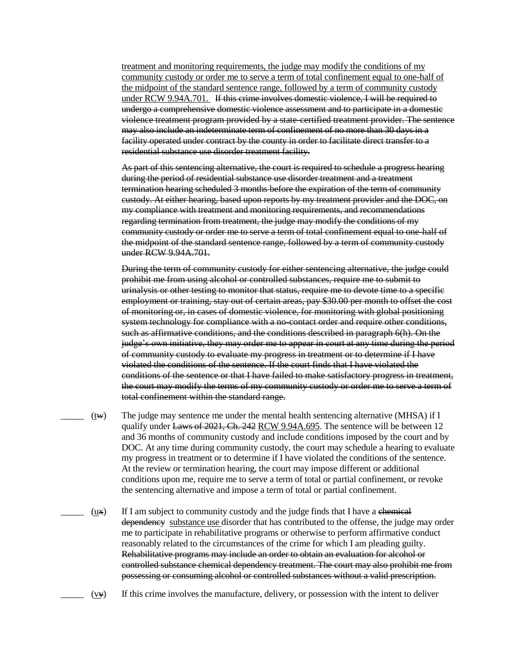treatment and monitoring requirements, the judge may modify the conditions of my community custody or order me to serve a term of total confinement equal to one-half of the midpoint of the standard sentence range, followed by a term of community custody under RCW 9.94A.701. If this crime involves domestic violence, I will be required to undergo a comprehensive domestic violence assessment and to participate in a domestic violence treatment program provided by a state-certified treatment provider. The sentence may also include an indeterminate term of confinement of no more than 30 days in a facility operated under contract by the county in order to facilitate direct transfer to a residential substance use disorder treatment facility.

As part of this sentencing alternative, the court is required to schedule a progress hearing during the period of residential substance use disorder treatment and a treatment termination hearing scheduled 3 months before the expiration of the term of community custody. At either hearing, based upon reports by my treatment provider and the DOC, on my compliance with treatment and monitoring requirements, and recommendations regarding termination from treatment, the judge may modify the conditions of my community custody or order me to serve a term of total confinement equal to one-half of the midpoint of the standard sentence range, followed by a term of community custody under RCW 9.94A.701.

During the term of community custody for either sentencing alternative, the judge could prohibit me from using alcohol or controlled substances, require me to submit to urinalysis or other testing to monitor that status, require me to devote time to a specific employment or training, stay out of certain areas, pay \$30.00 per month to offset the cost of monitoring or, in cases of domestic violence, for monitoring with global positioning system technology for compliance with a no-contact order and require other conditions, such as affirmative conditions, and the conditions described in paragraph 6(h). On the judge's own initiative, they may order me to appear in court at any time during the period of community custody to evaluate my progress in treatment or to determine if I have violated the conditions of the sentence. If the court finds that I have violated the conditions of the sentence or that I have failed to make satisfactory progress in treatment, the court may modify the terms of my community custody or order me to serve a term of total confinement within the standard range.

- $(tw)$  The judge may sentence me under the mental health sentencing alternative (MHSA) if I qualify under Laws of 2021, Ch. 242 RCW 9.94A.695. The sentence will be between 12 and 36 months of community custody and include conditions imposed by the court and by DOC. At any time during community custody, the court may schedule a hearing to evaluate my progress in treatment or to determine if I have violated the conditions of the sentence. At the review or termination hearing, the court may impose different or additional conditions upon me, require me to serve a term of total or partial confinement, or revoke the sentencing alternative and impose a term of total or partial confinement.
	- $(u, \mathbf{v})$  If I am subject to community custody and the judge finds that I have a chemical dependency substance use disorder that has contributed to the offense, the judge may order me to participate in rehabilitative programs or otherwise to perform affirmative conduct reasonably related to the circumstances of the crime for which I am pleading guilty. Rehabilitative programs may include an order to obtain an evaluation for alcohol or controlled substance chemical dependency treatment. The court may also prohibit me from possessing or consuming alcohol or controlled substances without a valid prescription.
	- $(v_y)$  If this crime involves the manufacture, delivery, or possession with the intent to deliver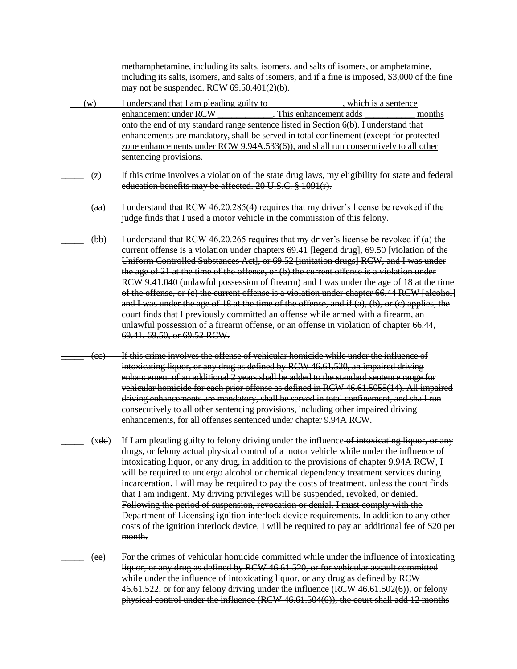methamphetamine, including its salts, isomers, and salts of isomers, or amphetamine, including its salts, isomers, and salts of isomers, and if a fine is imposed, \$3,000 of the fine may not be suspended. RCW 69.50.401(2)(b).

- \_\_\_\_\_(w) I understand that I am pleading guilty to \_\_\_\_\_\_\_\_\_\_\_\_\_\_\_\_, which is a sentence enhancement under RCW This enhancement adds months onto the end of my standard range sentence listed in Section 6(b). I understand that enhancements are mandatory, shall be served in total confinement (except for protected zone enhancements under RCW 9.94A.533(6)), and shall run consecutively to all other sentencing provisions.  $(z)$  If this crime involves a violation of the state drug laws, my eligibility for state and federal education benefits may be affected. 20 U.S.C. § 1091(r). (aa) I understand that RCW 46.20.285(4) requires that my driver's license be revoked if the judge finds that I used a motor vehicle in the commission of this felony. (bb) I understand that RCW 46.20.265 requires that my driver's license be revoked if (a) the current offense is a violation under chapters 69.41 [legend drug], 69.50 [violation of the Uniform Controlled Substances Act], or 69.52 [imitation drugs] RCW, and I was under the age of 21 at the time of the offense, or (b) the current offense is a violation under RCW 9.41.040 (unlawful possession of firearm) and I was under the age of 18 at the time of the offense, or (c) the current offense is a violation under chapter 66.44 RCW [alcohol] and I was under the age of 18 at the time of the offense, and if  $(a)$ ,  $(b)$ , or  $(c)$  applies, the court finds that I previously committed an offense while armed with a firearm, an unlawful possession of a firearm offense, or an offense in violation of chapter 66.44, 69.41, 69.50, or 69.52 RCW. (cc) If this crime involves the offense of vehicular homicide while under the influence of intoxicating liquor, or any drug as defined by RCW 46.61.520, an impaired driving enhancement of an additional 2 years shall be added to the standard sentence range for vehicular homicide for each prior offense as defined in RCW 46.61.5055(14). All impaired driving enhancements are mandatory, shall be served in total confinement, and shall run consecutively to all other sentencing provisions, including other impaired driving enhancements, for all offenses sentenced under chapter 9.94A RCW.  $(x\ddot{\theta})$  If I am pleading guilty to felony driving under the influence of intoxicating liquor, or any drugs, or felony actual physical control of a motor vehicle while under the influence of intoxicating liquor, or any drug, in addition to the provisions of chapter 9.94A RCW, I will be required to undergo alcohol or chemical dependency treatment services during incarceration. I will may be required to pay the costs of treatment. unless the court finds that I am indigent. My driving privileges will be suspended, revoked, or denied. Following the period of suspension, revocation or denial, I must comply with the Department of Licensing ignition interlock device requirements. In addition to any other costs of the ignition interlock device, I will be required to pay an additional fee of \$20 per month. (ee) For the crimes of vehicular homicide committed while under the influence of intoxicating
	- liquor, or any drug as defined by RCW 46.61.520, or for vehicular assault committed while under the influence of intoxicating liquor, or any drug as defined by RCW 46.61.522, or for any felony driving under the influence (RCW 46.61.502(6)), or felony physical control under the influence (RCW 46.61.504(6)), the court shall add 12 months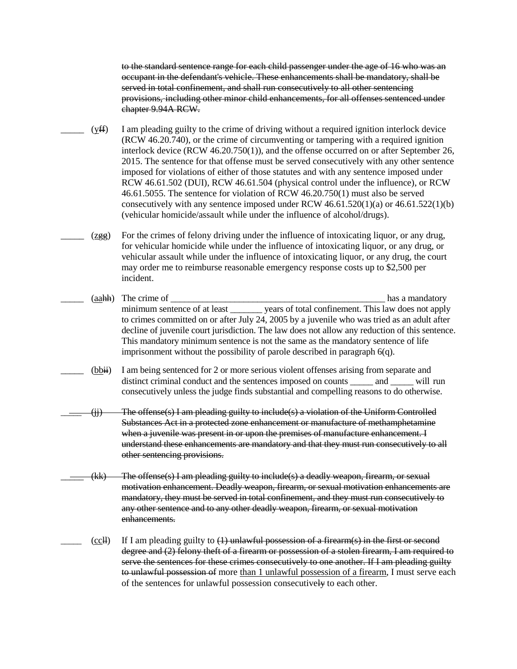to the standard sentence range for each child passenger under the age of 16 who was an occupant in the defendant's vehicle. These enhancements shall be mandatory, shall be served in total confinement, and shall run consecutively to all other sentencing provisions, including other minor child enhancements, for all offenses sentenced under chapter 9.94A RCW.

 $(yff)$  I am pleading guilty to the crime of driving without a required ignition interlock device (RCW 46.20.740), or the crime of circumventing or tampering with a required ignition interlock device (RCW 46.20.750(1)), and the offense occurred on or after September 26, 2015. The sentence for that offense must be served consecutively with any other sentence imposed for violations of either of those statutes and with any sentence imposed under RCW 46.61.502 (DUI), RCW 46.61.504 (physical control under the influence), or RCW 46.61.5055. The sentence for violation of RCW 46.20.750(1) must also be served consecutively with any sentence imposed under RCW 46.61.520(1)(a) or 46.61.522(1)(b) (vehicular homicide/assault while under the influence of alcohol/drugs).

 $(zggg)$  For the crimes of felony driving under the influence of intoxicating liquor, or any drug, for vehicular homicide while under the influence of intoxicating liquor, or any drug, or vehicular assault while under the influence of intoxicating liquor, or any drug, the court may order me to reimburse reasonable emergency response costs up to \$2,500 per incident.

(aah) The crime of  $\Box$ minimum sentence of at least vears of total confinement. This law does not apply to crimes committed on or after July 24, 2005 by a juvenile who was tried as an adult after decline of juvenile court jurisdiction. The law does not allow any reduction of this sentence. This mandatory minimum sentence is not the same as the mandatory sentence of life imprisonment without the possibility of parole described in paragraph 6(q).

(bbii) I am being sentenced for 2 or more serious violent offenses arising from separate and distinct criminal conduct and the sentences imposed on counts \_\_\_\_\_ and \_\_\_\_\_ will run consecutively unless the judge finds substantial and compelling reasons to do otherwise.

 $\langle ij \rangle$  The offense(s) I am pleading guilty to include(s) a violation of the Uniform Controlled Substances Act in a protected zone enhancement or manufacture of methamphetamine when a juvenile was present in or upon the premises of manufacture enhancement. I understand these enhancements are mandatory and that they must run consecutively to all other sentencing provisions.

- \_\_\_\_\_ (kk) The offense(s) I am pleading guilty to include(s) a deadly weapon, firearm, or sexual motivation enhancement. Deadly weapon, firearm, or sexual motivation enhancements are mandatory, they must be served in total confinement, and they must run consecutively to any other sentence and to any other deadly weapon, firearm, or sexual motivation enhancements.
- $(ccH)$  If I am pleading guilty to  $(1)$  unlawful possession of a firearm(s) in the first or second degree and (2) felony theft of a firearm or possession of a stolen firearm, I am required to serve the sentences for these crimes consecutively to one another. If I am pleading guilty to unlawful possession of more than 1 unlawful possession of a firearm, I must serve each of the sentences for unlawful possession consecutively to each other.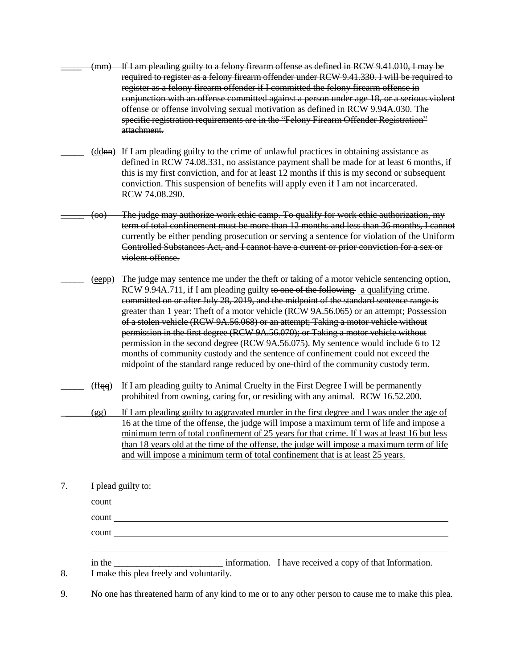(mm) If I am pleading guilty to a felony firearm offense as defined in RCW 9.41.010, I may be required to register as a felony firearm offender under RCW 9.41.330. I will be required to register as a felony firearm offender if I committed the felony firearm offense in conjunction with an offense committed against a person under age 18, or a serious violent offense or offense involving sexual motivation as defined in RCW 9.94A.030. The specific registration requirements are in the "Felony Firearm Offender Registration" attachment. (ddnn) If I am pleading guilty to the crime of unlawful practices in obtaining assistance as defined in RCW 74.08.331, no assistance payment shall be made for at least 6 months, if this is my first conviction, and for at least 12 months if this is my second or subsequent conviction. This suspension of benefits will apply even if I am not incarcerated. RCW 74.08.290. The judge may authorize work ethic camp. To qualify for work ethic authorization, my term of total confinement must be more than 12 months and less than 36 months, I cannot currently be either pending prosecution or serving a sentence for violation of the Uniform Controlled Substances Act, and I cannot have a current or prior conviction for a sex or violent offense. (eepp) The judge may sentence me under the theft or taking of a motor vehicle sentencing option, RCW 9.94A.711, if I am pleading guilty to one of the following a qualifying crime. committed on or after July 28, 2019, and the midpoint of the standard sentence range is greater than 1 year: Theft of a motor vehicle (RCW 9A.56.065) or an attempt; Possession of a stolen vehicle (RCW 9A.56.068) or an attempt; Taking a motor vehicle without permission in the first degree (RCW 9A.56.070); or Taking a motor vehicle without permission in the second degree (RCW 9A.56.075). My sentence would include 6 to 12 months of community custody and the sentence of confinement could not exceed the midpoint of the standard range reduced by one-third of the community custody term.  $(f f_{\text{eq}})$  If I am pleading guilty to Animal Cruelty in the First Degree I will be permanently prohibited from owning, caring for, or residing with any animal. RCW 16.52.200.

\_\_\_\_\_ (gg) If I am pleading guilty to aggravated murder in the first degree and I was under the age of 16 at the time of the offense, the judge will impose a maximum term of life and impose a minimum term of total confinement of 25 years for that crime. If I was at least 16 but less than 18 years old at the time of the offense, the judge will impose a maximum term of life and will impose a minimum term of total confinement that is at least 25 years.

7. I plead guilty to:

count <u>second</u> count and contain the count of the count of the count of the count of the count of the count of the count of the count of the count of the count of the count of the count of the count of the count of the cou count count in the \_\_\_\_\_\_\_\_\_\_\_\_\_\_\_\_\_\_\_\_\_\_\_\_ information. I have received a copy of that Information.

8. I make this plea freely and voluntarily.

9. No one has threatened harm of any kind to me or to any other person to cause me to make this plea.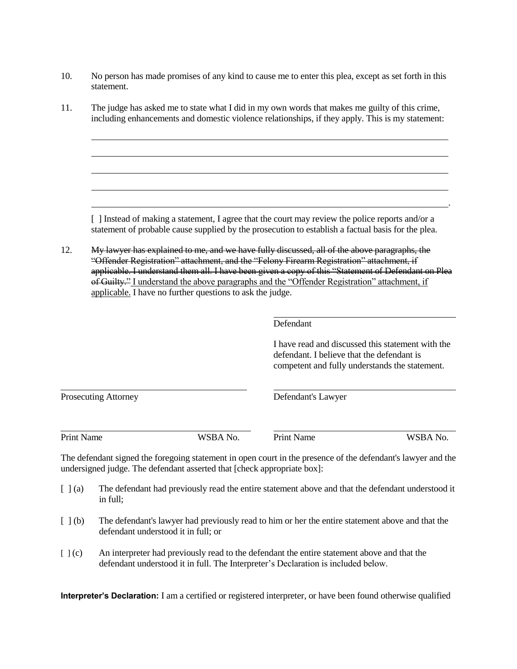- 10. No person has made promises of any kind to cause me to enter this plea, except as set forth in this statement.
- 11. The judge has asked me to state what I did in my own words that makes me guilty of this crime, including enhancements and domestic violence relationships, if they apply. This is my statement:

[ ] Instead of making a statement, I agree that the court may review the police reports and/or a statement of probable cause supplied by the prosecution to establish a factual basis for the plea.

12. My lawyer has explained to me, and we have fully discussed, all of the above paragraphs, the "Offender Registration" attachment, and the "Felony Firearm Registration" attachment, if applicable. I understand them all. I have been given a copy of this "Statement of Defendant on Plea of Guilty." I understand the above paragraphs and the "Offender Registration" attachment, if applicable. I have no further questions to ask the judge.

Defendant

I have read and discussed this statement with the defendant. I believe that the defendant is competent and fully understands the statement.

Prosecuting Attorney Defendant's Lawyer

Print Name WSBA No. Print Name WSBA No.

.

The defendant signed the foregoing statement in open court in the presence of the defendant's lawyer and the undersigned judge. The defendant asserted that [check appropriate box]:

- [ ] (a) The defendant had previously read the entire statement above and that the defendant understood it in full;
- [ ] (b) The defendant's lawyer had previously read to him or her the entire statement above and that the defendant understood it in full; or
- [ ] (c) An interpreter had previously read to the defendant the entire statement above and that the defendant understood it in full. The Interpreter's Declaration is included below.

**Interpreter's Declaration:** I am a certified or registered interpreter, or have been found otherwise qualified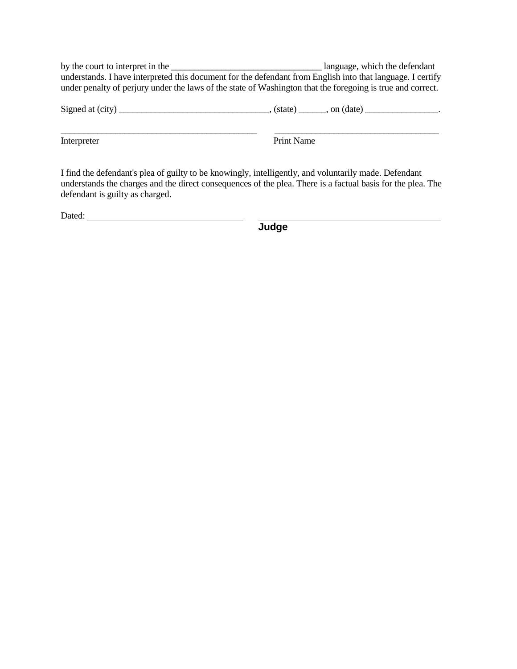by the court to interpret in the \_\_\_\_\_\_\_\_\_\_\_\_\_\_\_\_\_\_\_\_\_\_\_\_\_\_\_\_\_\_\_\_\_ language, which the defendant understands. I have interpreted this document for the defendant from English into that language. I certify under penalty of perjury under the laws of the state of Washington that the foregoing is true and correct.

|  | $\left($ , (state) $\right)$ , on (date) |  |
|--|------------------------------------------|--|
|  |                                          |  |
|  |                                          |  |

Interpreter Print Name

I find the defendant's plea of guilty to be knowingly, intelligently, and voluntarily made. Defendant understands the charges and the direct consequences of the plea. There is a factual basis for the plea. The defendant is guilty as charged.

Dated:

**Judge**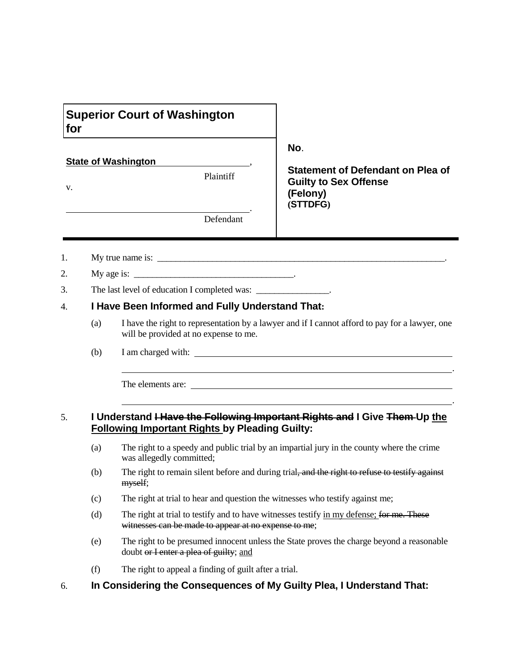| for |     | <b>Superior Court of Washington</b>                                           |                                                                                                                                                                                                                                                                                                     |  |
|-----|-----|-------------------------------------------------------------------------------|-----------------------------------------------------------------------------------------------------------------------------------------------------------------------------------------------------------------------------------------------------------------------------------------------------|--|
|     |     |                                                                               | No.                                                                                                                                                                                                                                                                                                 |  |
|     |     | <b>State of Washington</b><br>Plaintiff                                       | <b>Statement of Defendant on Plea of</b>                                                                                                                                                                                                                                                            |  |
| V.  |     |                                                                               | <b>Guilty to Sex Offense</b><br>(Felony)<br>(STTDFG)                                                                                                                                                                                                                                                |  |
|     |     | Defendant                                                                     |                                                                                                                                                                                                                                                                                                     |  |
| 1.  |     |                                                                               |                                                                                                                                                                                                                                                                                                     |  |
| 2.  |     |                                                                               |                                                                                                                                                                                                                                                                                                     |  |
| 3.  |     | The last level of education I completed was: ________________.                |                                                                                                                                                                                                                                                                                                     |  |
| 4.  |     | I Have Been Informed and Fully Understand That:                               |                                                                                                                                                                                                                                                                                                     |  |
|     | (a) | will be provided at no expense to me.                                         | I have the right to representation by a lawyer and if I cannot afford to pay for a lawyer, one                                                                                                                                                                                                      |  |
|     | (b) |                                                                               |                                                                                                                                                                                                                                                                                                     |  |
|     |     |                                                                               | <u> 1989 - Johann Stoff, amerikansk politiker (d. 1989)</u><br>The elements are: <u>and the set of the set of the set of the set of the set of the set of the set of the set of the set of the set of the set of the set of the set of the set of the set of the set of the set of the set of t</u> |  |
| 5.  |     | <b>Following Important Rights by Pleading Guilty:</b>                         | I Understand Have the Following Important Rights and I Give Them Up the                                                                                                                                                                                                                             |  |
|     | (a) | was allegedly committed;                                                      | The right to a speedy and public trial by an impartial jury in the county where the crime                                                                                                                                                                                                           |  |
|     | (b) | myself;                                                                       | The right to remain silent before and during trial, and the right to refuse to testify against                                                                                                                                                                                                      |  |
|     | (c) | The right at trial to hear and question the witnesses who testify against me; |                                                                                                                                                                                                                                                                                                     |  |
|     | (d) | witnesses can be made to appear at no expense to me;                          | The right at trial to testify and to have witnesses testify in my defense; for me. These                                                                                                                                                                                                            |  |
|     | (e) | doubt or I enter a plea of guilty; and                                        | The right to be presumed innocent unless the State proves the charge beyond a reasonable                                                                                                                                                                                                            |  |

(f) The right to appeal a finding of guilt after a trial.

6. **In Considering the Consequences of My Guilty Plea, I Understand That:**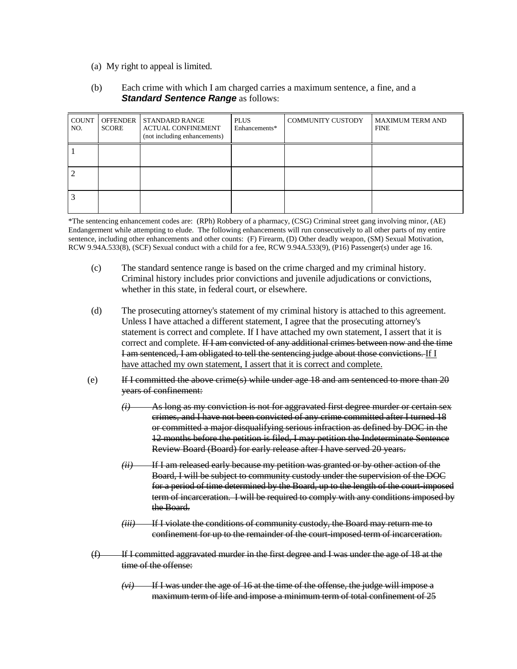(a) My right to appeal is limited.

#### (b) Each crime with which I am charged carries a maximum sentence, a fine, and a *Standard Sentence Range as follows:*

| <b>COUNT</b><br>NO. | <b>SCORE</b> | OFFENDER STANDARD RANGE<br><b>ACTUAL CONFINEMENT</b><br>(not including enhancements) | <b>PLUS</b><br>Enhancements* | <b>COMMUNITY CUSTODY</b> | <b>MAXIMUM TERM AND</b><br><b>FINE</b> |
|---------------------|--------------|--------------------------------------------------------------------------------------|------------------------------|--------------------------|----------------------------------------|
|                     |              |                                                                                      |                              |                          |                                        |
|                     |              |                                                                                      |                              |                          |                                        |
|                     |              |                                                                                      |                              |                          |                                        |

\*The sentencing enhancement codes are: (RPh) Robbery of a pharmacy, (CSG) Criminal street gang involving minor, (AE) Endangerment while attempting to elude. The following enhancements will run consecutively to all other parts of my entire sentence, including other enhancements and other counts: (F) Firearm, (D) Other deadly weapon, (SM) Sexual Motivation, RCW 9.94A.533(8), (SCF) Sexual conduct with a child for a fee, RCW 9.94A.533(9), (P16) Passenger(s) under age 16.

- (c) The standard sentence range is based on the crime charged and my criminal history. Criminal history includes prior convictions and juvenile adjudications or convictions, whether in this state, in federal court, or elsewhere.
- (d) The prosecuting attorney's statement of my criminal history is attached to this agreement. Unless I have attached a different statement, I agree that the prosecuting attorney's statement is correct and complete. If I have attached my own statement, I assert that it is correct and complete. If I am convicted of any additional crimes between now and the time I am sentenced, I am obligated to tell the sentencing judge about those convictions. If I have attached my own statement, I assert that it is correct and complete.
- (e) If I committed the above crime(s) while under age 18 and am sentenced to more than 20 years of confinement:
	- As long as my conviction is not for aggravated first degree murder or certain sex crimes, and I have not been convicted of any crime committed after I turned 18 or committed a major disqualifying serious infraction as defined by DOC in the 12 months before the petition is filed, I may petition the Indeterminate Sentence Review Board (Board) for early release after I have served 20 years.
	- *(ii)* If I am released early because my petition was granted or by other action of the Board, I will be subject to community custody under the supervision of the DOC for a period of time determined by the Board, up to the length of the court-imposed term of incarceration. I will be required to comply with any conditions imposed by the Board.
	- *(iii)* If I violate the conditions of community custody, the Board may return me to confinement for up to the remainder of the court-imposed term of incarceration.
- $(f)$  If I committed aggravated murder in the first degree and I was under the age of 18 at the time of the offense:
	- *(vi)* If I was under the age of 16 at the time of the offense, the judge will impose a maximum term of life and impose a minimum term of total confinement of 25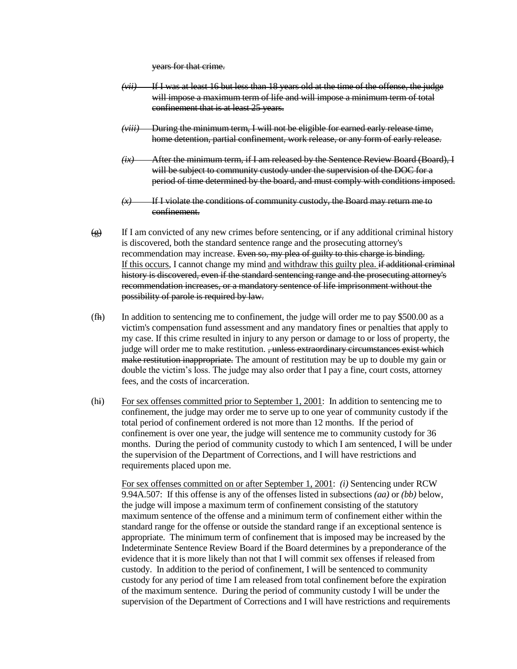years for that crime.

- *(vii)* If I was at least 16 but less than 18 years old at the time of the offense, the judge will impose a maximum term of life and will impose a minimum term of total confinement that is at least 25 years.
- *(viii)* During the minimum term, I will not be eligible for earned early release time, home detention, partial confinement, work release, or any form of early release.
- *(ix)* After the minimum term, if I am released by the Sentence Review Board (Board), I will be subject to community custody under the supervision of the DOC for a period of time determined by the board, and must comply with conditions imposed.
- *(x)* If I violate the conditions of community custody, the Board may return me to confinement.
- $\frac{1}{2}$  If I am convicted of any new crimes before sentencing, or if any additional criminal history is discovered, both the standard sentence range and the prosecuting attorney's recommendation may increase. Even so, my plea of guilty to this charge is binding. If this occurs, I cannot change my mind and withdraw this guilty plea. if additional criminal history is discovered, even if the standard sentencing range and the prosecuting attorney's recommendation increases, or a mandatory sentence of life imprisonment without the possibility of parole is required by law.
- (fh) In addition to sentencing me to confinement, the judge will order me to pay \$500.00 as a victim's compensation fund assessment and any mandatory fines or penalties that apply to my case. If this crime resulted in injury to any person or damage to or loss of property, the judge will order me to make restitution. <del>, unless extraordinary circumstances exist which</del> make restitution inappropriate. The amount of restitution may be up to double my gain or double the victim's loss. The judge may also order that I pay a fine, court costs, attorney fees, and the costs of incarceration.
- (hi) For sex offenses committed prior to September 1, 2001: In addition to sentencing me to confinement, the judge may order me to serve up to one year of community custody if the total period of confinement ordered is not more than 12 months. If the period of confinement is over one year, the judge will sentence me to community custody for 36 months. During the period of community custody to which I am sentenced, I will be under the supervision of the Department of Corrections, and I will have restrictions and requirements placed upon me.

For sex offenses committed on or after September 1, 2001: *(i)* Sentencing under RCW 9.94A.507: If this offense is any of the offenses listed in subsections *(aa)* or *(bb)* below, the judge will impose a maximum term of confinement consisting of the statutory maximum sentence of the offense and a minimum term of confinement either within the standard range for the offense or outside the standard range if an exceptional sentence is appropriate. The minimum term of confinement that is imposed may be increased by the Indeterminate Sentence Review Board if the Board determines by a preponderance of the evidence that it is more likely than not that I will commit sex offenses if released from custody. In addition to the period of confinement, I will be sentenced to community custody for any period of time I am released from total confinement before the expiration of the maximum sentence. During the period of community custody I will be under the supervision of the Department of Corrections and I will have restrictions and requirements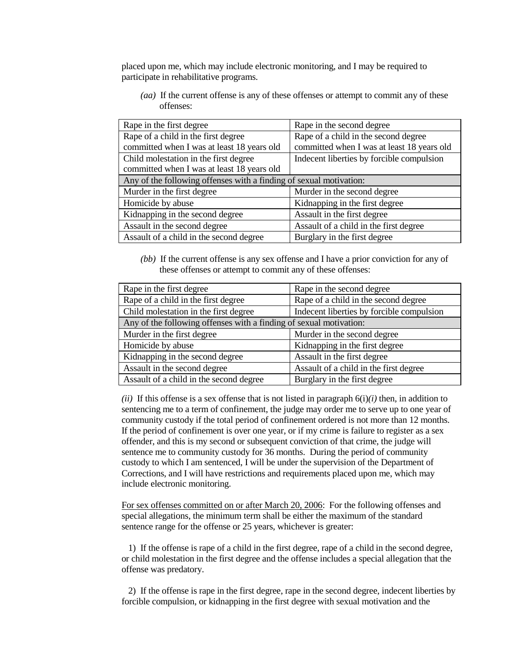placed upon me, which may include electronic monitoring, and I may be required to participate in rehabilitative programs.

*(aa)* If the current offense is any of these offenses or attempt to commit any of these offenses:

| Rape in the first degree                                           | Rape in the second degree                  |
|--------------------------------------------------------------------|--------------------------------------------|
| Rape of a child in the first degree                                | Rape of a child in the second degree       |
| committed when I was at least 18 years old                         | committed when I was at least 18 years old |
| Child molestation in the first degree                              | Indecent liberties by forcible compulsion  |
| committed when I was at least 18 years old                         |                                            |
| Any of the following offenses with a finding of sexual motivation: |                                            |
| Murder in the first degree                                         | Murder in the second degree                |
| Homicide by abuse                                                  | Kidnapping in the first degree             |
| Kidnapping in the second degree                                    | Assault in the first degree                |
| Assault in the second degree                                       | Assault of a child in the first degree     |
| Assault of a child in the second degree                            | Burglary in the first degree               |

*(bb)* If the current offense is any sex offense and I have a prior conviction for any of these offenses or attempt to commit any of these offenses:

| Rape in the first degree                                           | Rape in the second degree                 |  |
|--------------------------------------------------------------------|-------------------------------------------|--|
| Rape of a child in the first degree                                | Rape of a child in the second degree      |  |
| Child molestation in the first degree                              | Indecent liberties by forcible compulsion |  |
| Any of the following offenses with a finding of sexual motivation: |                                           |  |
| Murder in the first degree                                         | Murder in the second degree               |  |
| Homicide by abuse                                                  | Kidnapping in the first degree            |  |
| Kidnapping in the second degree                                    | Assault in the first degree               |  |
| Assault in the second degree                                       | Assault of a child in the first degree    |  |
| Assault of a child in the second degree                            | Burglary in the first degree              |  |
|                                                                    |                                           |  |

*(ii)* If this offense is a sex offense that is not listed in paragraph  $6(i)/i$  then, in addition to sentencing me to a term of confinement, the judge may order me to serve up to one year of community custody if the total period of confinement ordered is not more than 12 months. If the period of confinement is over one year, or if my crime is failure to register as a sex offender, and this is my second or subsequent conviction of that crime, the judge will sentence me to community custody for 36 months. During the period of community custody to which I am sentenced, I will be under the supervision of the Department of Corrections, and I will have restrictions and requirements placed upon me, which may include electronic monitoring.

For sex offenses committed on or after March 20, 2006: For the following offenses and special allegations, the minimum term shall be either the maximum of the standard sentence range for the offense or 25 years, whichever is greater:

 1) If the offense is rape of a child in the first degree, rape of a child in the second degree, or child molestation in the first degree and the offense includes a special allegation that the offense was predatory.

 2) If the offense is rape in the first degree, rape in the second degree, indecent liberties by forcible compulsion, or kidnapping in the first degree with sexual motivation and the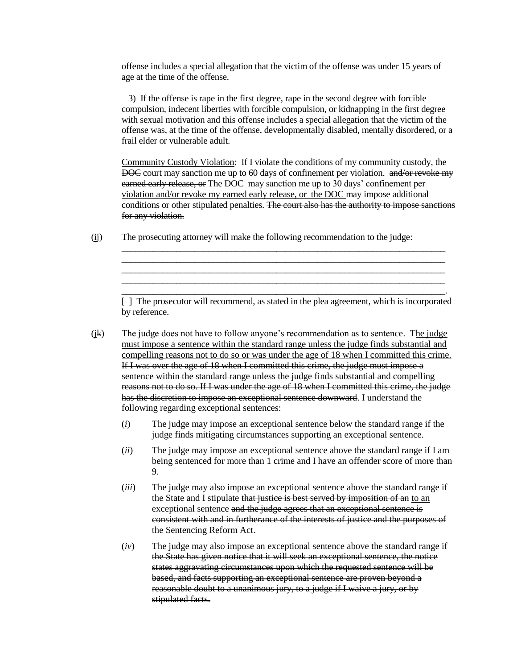offense includes a special allegation that the victim of the offense was under 15 years of age at the time of the offense.

 3) If the offense is rape in the first degree, rape in the second degree with forcible compulsion, indecent liberties with forcible compulsion, or kidnapping in the first degree with sexual motivation and this offense includes a special allegation that the victim of the offense was, at the time of the offense, developmentally disabled, mentally disordered, or a frail elder or vulnerable adult.

Community Custody Violation: If I violate the conditions of my community custody, the DOC court may sanction me up to 60 days of confinement per violation. and/or revoke my earned early release, or The DOC may sanction me up to 30 days' confinement per violation and/or revoke my earned early release, or the DOC may impose additional conditions or other stipulated penalties. The court also has the authority to impose sanctions for any violation.

 $(i)$  The prosecuting attorney will make the following recommendation to the judge:

\_\_\_\_\_\_\_\_\_\_\_\_\_\_\_\_\_\_\_\_\_\_\_\_\_\_\_\_\_\_\_\_\_\_\_\_\_\_\_\_\_\_\_\_\_\_\_\_\_\_\_\_\_\_\_\_\_\_\_\_\_\_\_\_\_\_\_\_\_\_\_. [ ] The prosecutor will recommend, as stated in the plea agreement, which is incorporated by reference.

\_\_\_\_\_\_\_\_\_\_\_\_\_\_\_\_\_\_\_\_\_\_\_\_\_\_\_\_\_\_\_\_\_\_\_\_\_\_\_\_\_\_\_\_\_\_\_\_\_\_\_\_\_\_\_\_\_\_\_\_\_\_\_\_\_\_\_\_\_\_\_ \_\_\_\_\_\_\_\_\_\_\_\_\_\_\_\_\_\_\_\_\_\_\_\_\_\_\_\_\_\_\_\_\_\_\_\_\_\_\_\_\_\_\_\_\_\_\_\_\_\_\_\_\_\_\_\_\_\_\_\_\_\_\_\_\_\_\_\_\_\_\_ \_\_\_\_\_\_\_\_\_\_\_\_\_\_\_\_\_\_\_\_\_\_\_\_\_\_\_\_\_\_\_\_\_\_\_\_\_\_\_\_\_\_\_\_\_\_\_\_\_\_\_\_\_\_\_\_\_\_\_\_\_\_\_\_\_\_\_\_\_\_\_

- $(k)$  The judge does not have to follow anyone's recommendation as to sentence. The judge must impose a sentence within the standard range unless the judge finds substantial and compelling reasons not to do so or was under the age of 18 when I committed this crime. If I was over the age of 18 when I committed this crime, the judge must impose a sentence within the standard range unless the judge finds substantial and compelling reasons not to do so. If I was under the age of 18 when I committed this crime, the judge has the discretion to impose an exceptional sentence downward. I understand the following regarding exceptional sentences:
	- (*i*) The judge may impose an exceptional sentence below the standard range if the judge finds mitigating circumstances supporting an exceptional sentence.
	- (*ii*) The judge may impose an exceptional sentence above the standard range if I am being sentenced for more than 1 crime and I have an offender score of more than 9.
	- (*iii*) The judge may also impose an exceptional sentence above the standard range if the State and I stipulate that justice is best served by imposition of an to an exceptional sentence and the judge agrees that an exceptional sentence is consistent with and in furtherance of the interests of justice and the purposes of the Sentencing Reform Act.
	- (*iv*) The judge may also impose an exceptional sentence above the standard range if the State has given notice that it will seek an exceptional sentence, the notice states aggravating circumstances upon which the requested sentence will be based, and facts supporting an exceptional sentence are proven beyond a reasonable doubt to a unanimous jury, to a judge if I waive a jury, or by stipulated facts.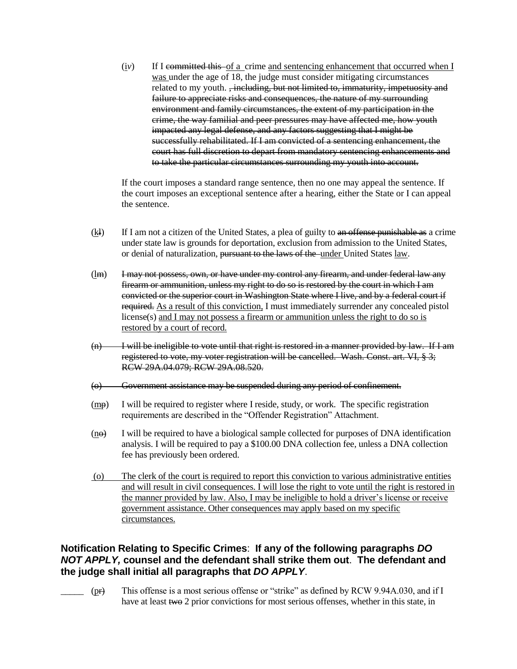(i*v*) If I committed this of a crime and sentencing enhancement that occurred when I was under the age of 18, the judge must consider mitigating circumstances related to my youth. , including, but not limited to, immaturity, impetuosity and failure to appreciate risks and consequences, the nature of my surrounding environment and family circumstances, the extent of my participation in the crime, the way familial and peer pressures may have affected me, how youth impacted any legal defense, and any factors suggesting that I might be successfully rehabilitated. If I am convicted of a sentencing enhancement, the court has full discretion to depart from mandatory sentencing enhancements and to take the particular circumstances surrounding my youth into account.

If the court imposes a standard range sentence, then no one may appeal the sentence. If the court imposes an exceptional sentence after a hearing, either the State or I can appeal the sentence.

- $(k)$  If I am not a citizen of the United States, a plea of guilty to an offense punishable as a crime under state law is grounds for deportation, exclusion from admission to the United States, or denial of naturalization, pursuant to the laws of the under United States law.
- (lm) I may not possess, own, or have under my control any firearm, and under federal law any firearm or ammunition, unless my right to do so is restored by the court in which I am convicted or the superior court in Washington State where I live, and by a federal court if required. As a result of this conviction, I must immediately surrender any concealed pistol license(s) and I may not possess a firearm or ammunition unless the right to do so is restored by a court of record.
- $(n)$  I will be ineligible to vote until that right is restored in a manner provided by law. If I am registered to vote, my voter registration will be cancelled. Wash. Const. art. VI, § 3; RCW 29A.04.079; RCW 29A.08.520.
- (o) Government assistance may be suspended during any period of confinement.
- $(m<sub>p</sub>)$  I will be required to register where I reside, study, or work. The specific registration requirements are described in the "Offender Registration" Attachment.
- $(n<sub>θ</sub>)$  I will be required to have a biological sample collected for purposes of DNA identification analysis. I will be required to pay a \$100.00 DNA collection fee, unless a DNA collection fee has previously been ordered.
- (o) The clerk of the court is required to report this conviction to various administrative entities and will result in civil consequences. I will lose the right to vote until the right is restored in the manner provided by law. Also, I may be ineligible to hold a driver's license or receive government assistance. Other consequences may apply based on my specific circumstances.

# **Notification Relating to Specific Crimes**: **If any of the following paragraphs** *DO NOT APPLY,* **counsel and the defendant shall strike them out**. **The defendant and the judge shall initial all paragraphs that** *DO APPLY*.

\_\_\_\_\_ (pr) This offense is a most serious offense or "strike" as defined by RCW 9.94A.030, and if I have at least two 2 prior convictions for most serious offenses, whether in this state, in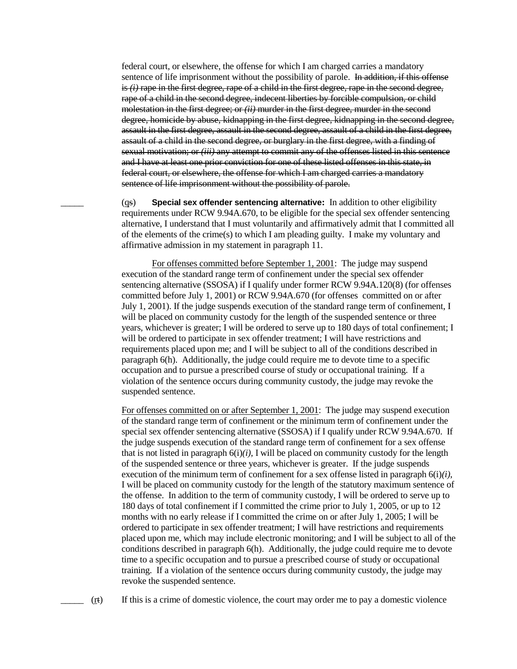federal court, or elsewhere, the offense for which I am charged carries a mandatory sentence of life imprisonment without the possibility of parole. In addition, if this offense is *(i)* rape in the first degree, rape of a child in the first degree, rape in the second degree, rape of a child in the second degree, indecent liberties by forcible compulsion, or child molestation in the first degree; or *(ii)* murder in the first degree, murder in the second degree, homicide by abuse, kidnapping in the first degree, kidnapping in the second degree, assault in the first degree, assault in the second degree, assault of a child in the first degree, assault of a child in the second degree, or burglary in the first degree, with a finding of sexual motivation; or *(iii)* any attempt to commit any of the offenses listed in this sentence and I have at least one prior conviction for one of these listed offenses in this state, in federal court, or elsewhere, the offense for which I am charged carries a mandatory sentence of life imprisonment without the possibility of parole.

\_\_\_\_\_ (qs) **Special sex offender sentencing alternative:** In addition to other eligibility requirements under RCW 9.94A.670, to be eligible for the special sex offender sentencing alternative, I understand that I must voluntarily and affirmatively admit that I committed all of the elements of the crime(s) to which I am pleading guilty. I make my voluntary and affirmative admission in my statement in paragraph 11.

For offenses committed before September 1, 2001: The judge may suspend execution of the standard range term of confinement under the special sex offender sentencing alternative (SSOSA) if I qualify under former RCW 9.94A.120(8) (for offenses committed before July 1, 2001) or RCW 9.94A.670 (for offenses committed on or after July 1, 2001). If the judge suspends execution of the standard range term of confinement, I will be placed on community custody for the length of the suspended sentence or three years, whichever is greater; I will be ordered to serve up to 180 days of total confinement; I will be ordered to participate in sex offender treatment; I will have restrictions and requirements placed upon me; and I will be subject to all of the conditions described in paragraph 6(h). Additionally, the judge could require me to devote time to a specific occupation and to pursue a prescribed course of study or occupational training. If a violation of the sentence occurs during community custody, the judge may revoke the suspended sentence.

For offenses committed on or after September 1, 2001: The judge may suspend execution of the standard range term of confinement or the minimum term of confinement under the special sex offender sentencing alternative (SSOSA) if I qualify under RCW 9.94A.670. If the judge suspends execution of the standard range term of confinement for a sex offense that is not listed in paragraph  $6(i)/i$ , I will be placed on community custody for the length of the suspended sentence or three years, whichever is greater. If the judge suspends execution of the minimum term of confinement for a sex offense listed in paragraph 6(i)*(i)*, I will be placed on community custody for the length of the statutory maximum sentence of the offense. In addition to the term of community custody, I will be ordered to serve up to 180 days of total confinement if I committed the crime prior to July 1, 2005, or up to 12 months with no early release if I committed the crime on or after July 1, 2005; I will be ordered to participate in sex offender treatment; I will have restrictions and requirements placed upon me, which may include electronic monitoring; and I will be subject to all of the conditions described in paragraph 6(h). Additionally, the judge could require me to devote time to a specific occupation and to pursue a prescribed course of study or occupational training. If a violation of the sentence occurs during community custody, the judge may revoke the suspended sentence.

 $(r<sub>t</sub>)$  If this is a crime of domestic violence, the court may order me to pay a domestic violence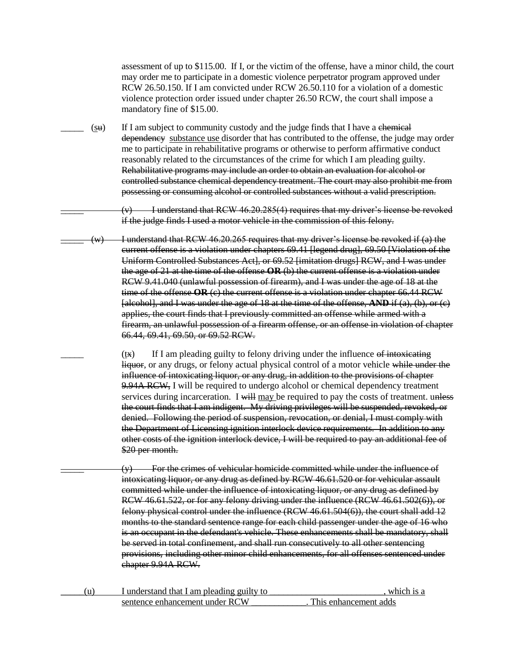assessment of up to \$115.00. If I, or the victim of the offense, have a minor child, the court may order me to participate in a domestic violence perpetrator program approved under RCW 26.50.150. If I am convicted under RCW 26.50.110 for a violation of a domestic violence protection order issued under chapter 26.50 RCW, the court shall impose a mandatory fine of \$15.00.

 $(\underline{\mathbf{S}}\mathbf{u})$  If I am subject to community custody and the judge finds that I have a chemical dependency substance use disorder that has contributed to the offense, the judge may order me to participate in rehabilitative programs or otherwise to perform affirmative conduct reasonably related to the circumstances of the crime for which I am pleading guilty. Rehabilitative programs may include an order to obtain an evaluation for alcohol or controlled substance chemical dependency treatment. The court may also prohibit me from possessing or consuming alcohol or controlled substances without a valid prescription.

> I understand that RCW 46.20.285(4) requires that my driver's license be revoked if the judge finds I used a motor vehicle in the commission of this felony.

 $(w)$  I understand that RCW 46.20.265 requires that my driver's license be revoked if (a) the current offense is a violation under chapters 69.41 [legend drug], 69.50 [Violation of the Uniform Controlled Substances Act], or 69.52 [imitation drugs] RCW, and I was under the age of 21 at the time of the offense **OR** (b) the current offense is a violation under RCW 9.41.040 (unlawful possession of firearm), and I was under the age of 18 at the time of the offense **OR** (c) the current offense is a violation under chapter 66.44 RCW [alcohol], and I was under the age of 18 at the time of the offense, **AND** if (a), (b), or (c) applies, the court finds that I previously committed an offense while armed with a firearm, an unlawful possession of a firearm offense, or an offense in violation of chapter 66.44, 69.41, 69.50, or 69.52 RCW.

> $(tx)$  If I am pleading guilty to felony driving under the influence of intoxicating liquor, or any drugs, or felony actual physical control of a motor vehicle while under the influence of intoxicating liquor, or any drug, in addition to the provisions of chapter 9.94A RCW, I will be required to undergo alcohol or chemical dependency treatment services during incarceration. I will may be required to pay the costs of treatment. unless the court finds that I am indigent. My driving privileges will be suspended, revoked, or denied. Following the period of suspension, revocation, or denial, I must comply with the Department of Licensing ignition interlock device requirements. In addition to any other costs of the ignition interlock device, I will be required to pay an additional fee of \$20 per month.

 $(y)$  For the crimes of vehicular homicide committed while under the influence of intoxicating liquor, or any drug as defined by RCW 46.61.520 or for vehicular assault committed while under the influence of intoxicating liquor, or any drug as defined by RCW 46.61.522, or for any felony driving under the influence (RCW 46.61.502(6)), or felony physical control under the influence (RCW 46.61.504(6)), the court shall add 12 months to the standard sentence range for each child passenger under the age of 16 who is an occupant in the defendant's vehicle. These enhancements shall be mandatory, shall be served in total confinement, and shall run consecutively to all other sentencing provisions, including other minor child enhancements, for all offenses sentenced under chapter 9.94A RCW.

| I understand that I am pleading guilty to | which is a            |
|-------------------------------------------|-----------------------|
| sentence enhancement under RCW            | This enhancement adds |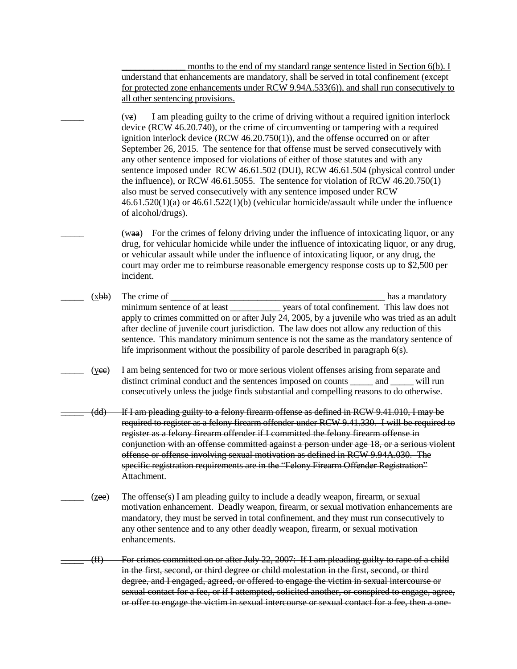months to the end of my standard range sentence listed in Section 6(b). I understand that enhancements are mandatory, shall be served in total confinement (except for protected zone enhancements under RCW 9.94A.533(6)), and shall run consecutively to all other sentencing provisions.

 $(vz)$  I am pleading guilty to the crime of driving without a required ignition interlock device (RCW 46.20.740), or the crime of circumventing or tampering with a required ignition interlock device (RCW 46.20.750(1)), and the offense occurred on or after September 26, 2015. The sentence for that offense must be served consecutively with any other sentence imposed for violations of either of those statutes and with any sentence imposed under RCW 46.61.502 (DUI), RCW 46.61.504 (physical control under the influence), or RCW 46.61.5055. The sentence for violation of RCW 46.20.750(1) also must be served consecutively with any sentence imposed under RCW 46.61.520(1)(a) or 46.61.522(1)(b) (vehicular homicide/assault while under the influence of alcohol/drugs).

 $(waa)$  For the crimes of felony driving under the influence of intoxicating liquor, or any drug, for vehicular homicide while under the influence of intoxicating liquor, or any drug, or vehicular assault while under the influence of intoxicating liquor, or any drug, the court may order me to reimburse reasonable emergency response costs up to \$2,500 per incident.

- \_\_\_\_\_ (xbb) The crime of \_\_\_\_\_\_\_\_\_\_\_\_\_\_\_\_\_\_\_\_\_\_\_\_\_\_\_\_\_\_\_\_\_\_\_\_\_\_\_\_\_\_\_\_\_\_\_ has a mandatory minimum sentence of at least vears of total confinement. This law does not apply to crimes committed on or after July 24, 2005, by a juvenile who was tried as an adult after decline of juvenile court jurisdiction. The law does not allow any reduction of this sentence. This mandatory minimum sentence is not the same as the mandatory sentence of life imprisonment without the possibility of parole described in paragraph 6(s).
	- \_\_\_\_\_ (ycc) I am being sentenced for two or more serious violent offenses arising from separate and distinct criminal conduct and the sentences imposed on counts and  $\qquad$  will run consecutively unless the judge finds substantial and compelling reasons to do otherwise.
- \_\_\_\_\_ (dd) If I am pleading guilty to a felony firearm offense as defined in RCW 9.41.010, I may be required to register as a felony firearm offender under RCW 9.41.330. I will be required to register as a felony firearm offender if I committed the felony firearm offense in conjunction with an offense committed against a person under age 18, or a serious violent offense or offense involving sexual motivation as defined in RCW 9.94A.030. The specific registration requirements are in the "Felony Firearm Offender Registration" Attachment.
- (zee) The offense(s) I am pleading guilty to include a deadly weapon, firearm, or sexual motivation enhancement. Deadly weapon, firearm, or sexual motivation enhancements are mandatory, they must be served in total confinement, and they must run consecutively to any other sentence and to any other deadly weapon, firearm, or sexual motivation enhancements.
- $(f)$  For crimes committed on or after July 22, 2007: If I am pleading guilty to rape of a child in the first, second, or third degree or child molestation in the first, second, or third degree, and I engaged, agreed, or offered to engage the victim in sexual intercourse or sexual contact for a fee, or if I attempted, solicited another, or conspired to engage, agree, or offer to engage the victim in sexual intercourse or sexual contact for a fee, then a one-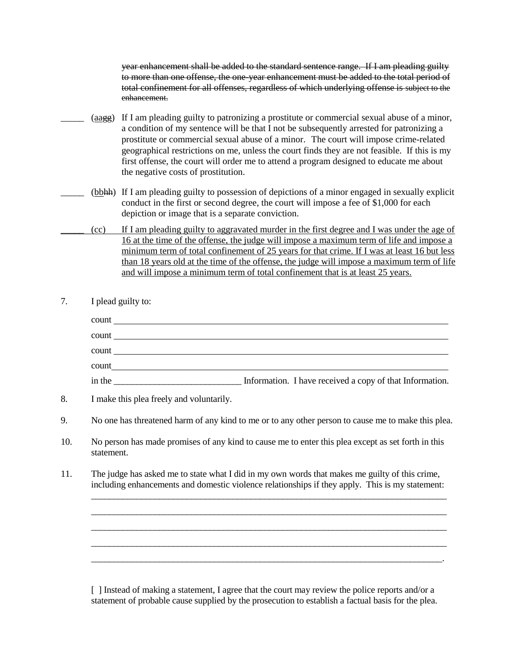year enhancement shall be added to the standard sentence range. If I am pleading guilty to more than one offense, the one-year enhancement must be added to the total period of total confinement for all offenses, regardless of which underlying offense is subject to the enhancement.

- (aagg) If I am pleading guilty to patronizing a prostitute or commercial sexual abuse of a minor, a condition of my sentence will be that I not be subsequently arrested for patronizing a prostitute or commercial sexual abuse of a minor. The court will impose crime-related geographical restrictions on me, unless the court finds they are not feasible. If this is my first offense, the court will order me to attend a program designed to educate me about the negative costs of prostitution.
	- (bbhh) If I am pleading guilty to possession of depictions of a minor engaged in sexually explicit conduct in the first or second degree, the court will impose a fee of \$1,000 for each depiction or image that is a separate conviction.
- \_\_\_\_\_ (cc) If I am pleading guilty to aggravated murder in the first degree and I was under the age of 16 at the time of the offense, the judge will impose a maximum term of life and impose a minimum term of total confinement of 25 years for that crime. If I was at least 16 but less than 18 years old at the time of the offense, the judge will impose a maximum term of life and will impose a minimum term of total confinement that is at least 25 years.
- 7. I plead guilty to:

| count  | <u> 1980 - Jan Salaman, markanista politikari (h. 1980).</u>                                                        |
|--------|---------------------------------------------------------------------------------------------------------------------|
| count  | <u> 1980 - Jan Samuel Barbara, margaret e populazion del control de la provincia de la provincia del control de</u> |
|        |                                                                                                                     |
| count  |                                                                                                                     |
| count  |                                                                                                                     |
| in the | Information. I have received a copy of that Information.                                                            |
|        |                                                                                                                     |

- 8. I make this plea freely and voluntarily.
- 9. No one has threatened harm of any kind to me or to any other person to cause me to make this plea.
- 10. No person has made promises of any kind to cause me to enter this plea except as set forth in this statement.
- 11. The judge has asked me to state what I did in my own words that makes me guilty of this crime, including enhancements and domestic violence relationships if they apply. This is my statement:

\_\_\_\_\_\_\_\_\_\_\_\_\_\_\_\_\_\_\_\_\_\_\_\_\_\_\_\_\_\_\_\_\_\_\_\_\_\_\_\_\_\_\_\_\_\_\_\_\_\_\_\_\_\_\_\_\_\_\_\_\_\_\_\_\_\_\_\_\_\_\_\_\_\_\_\_\_\_ \_\_\_\_\_\_\_\_\_\_\_\_\_\_\_\_\_\_\_\_\_\_\_\_\_\_\_\_\_\_\_\_\_\_\_\_\_\_\_\_\_\_\_\_\_\_\_\_\_\_\_\_\_\_\_\_\_\_\_\_\_\_\_\_\_\_\_\_\_\_\_\_\_\_\_\_\_\_ \_\_\_\_\_\_\_\_\_\_\_\_\_\_\_\_\_\_\_\_\_\_\_\_\_\_\_\_\_\_\_\_\_\_\_\_\_\_\_\_\_\_\_\_\_\_\_\_\_\_\_\_\_\_\_\_\_\_\_\_\_\_\_\_\_\_\_\_\_\_\_\_\_\_\_\_\_\_ \_\_\_\_\_\_\_\_\_\_\_\_\_\_\_\_\_\_\_\_\_\_\_\_\_\_\_\_\_\_\_\_\_\_\_\_\_\_\_\_\_\_\_\_\_\_\_\_\_\_\_\_\_\_\_\_\_\_\_\_\_\_\_\_\_\_\_\_\_\_\_\_\_\_\_\_\_\_ \_\_\_\_\_\_\_\_\_\_\_\_\_\_\_\_\_\_\_\_\_\_\_\_\_\_\_\_\_\_\_\_\_\_\_\_\_\_\_\_\_\_\_\_\_\_\_\_\_\_\_\_\_\_\_\_\_\_\_\_\_\_\_\_\_\_\_\_\_\_\_\_\_\_\_\_\_.

[ ] Instead of making a statement, I agree that the court may review the police reports and/or a statement of probable cause supplied by the prosecution to establish a factual basis for the plea.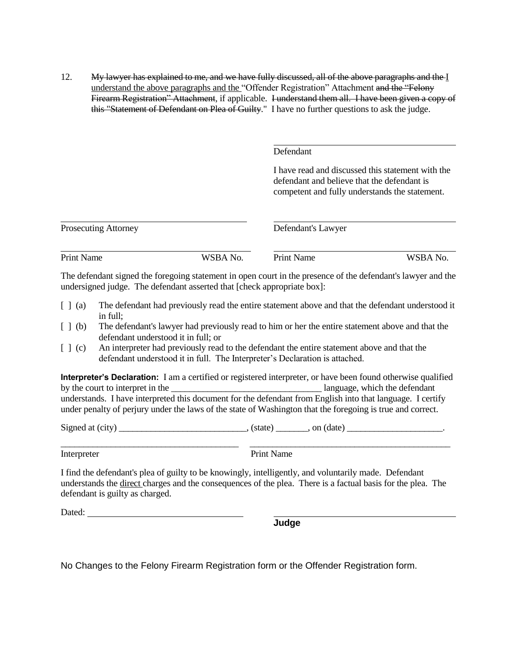12. My lawyer has explained to me, and we have fully discussed, all of the above paragraphs and the I understand the above paragraphs and the "Offender Registration" Attachment and the "Felony Firearm Registration" Attachment, if applicable. I understand them all. I have been given a copy of this "Statement of Defendant on Plea of Guilty." I have no further questions to ask the judge.

Defendant

I have read and discussed this statement with the defendant and believe that the defendant is competent and fully understands the statement.

| <b>Prosecuting Attorney</b> |          | Defendant's Lawyer                                                                                           |          |
|-----------------------------|----------|--------------------------------------------------------------------------------------------------------------|----------|
| <b>Print Name</b>           | WSBA No. | <b>Print Name</b>                                                                                            | WSBA No. |
|                             |          | The defendent signed the foregoing statement in even court in the presence of the defendent's lewwer and the |          |

The defendant signed the foregoing statement in open court in the presence of the defendant's lawyer and the undersigned judge. The defendant asserted that [check appropriate box]:

- [ ] (a) The defendant had previously read the entire statement above and that the defendant understood it in full;
- [ ] (b) The defendant's lawyer had previously read to him or her the entire statement above and that the defendant understood it in full; or
- [ ] (c) An interpreter had previously read to the defendant the entire statement above and that the defendant understood it in full. The Interpreter's Declaration is attached.

**Interpreter's Declaration:** I am a certified or registered interpreter, or have been found otherwise qualified by the court to interpret in the language which the defendant understands. I have interpreted this document for the defendant from English into that language. I certify under penalty of perjury under the laws of the state of Washington that the foregoing is true and correct.

Signed at  $\text{(city)}$  (state), on  $\text{(date)}$ 

\_\_\_\_\_\_\_\_\_\_\_\_\_\_\_\_\_\_\_\_\_\_\_\_\_\_\_\_\_\_\_\_\_\_\_\_\_\_\_ \_\_\_\_\_\_\_\_\_\_\_\_\_\_\_\_\_\_\_\_\_\_\_\_\_\_\_\_\_\_\_\_\_\_\_\_\_\_\_\_\_\_\_\_ Interpreter Print Name

I find the defendant's plea of guilty to be knowingly, intelligently, and voluntarily made. Defendant understands the direct charges and the consequences of the plea. There is a factual basis for the plea. The defendant is guilty as charged.

Dated: **Dated: Dated: Dated: Dated: Dated: Dated: Date: Date: Date: Date: Date: Date: Date: Date: Date: Date: Date: Date: Date: Date: Date: Date: Date: Date: Date: Date:**

**Judge**

No Changes to the Felony Firearm Registration form or the Offender Registration form.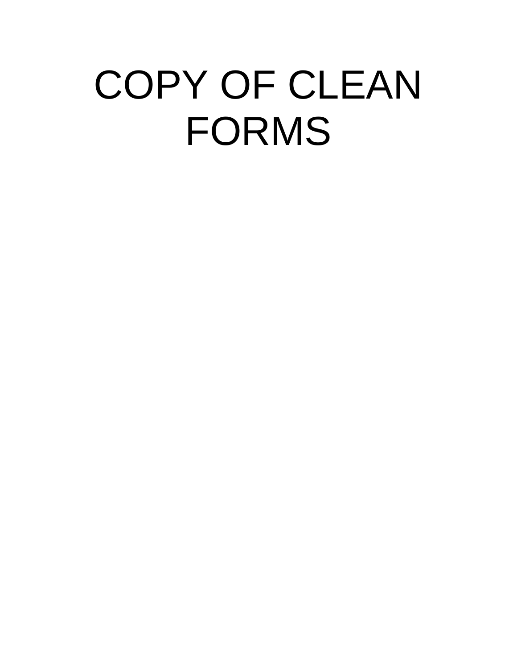# COPY OF CLEAN FORMS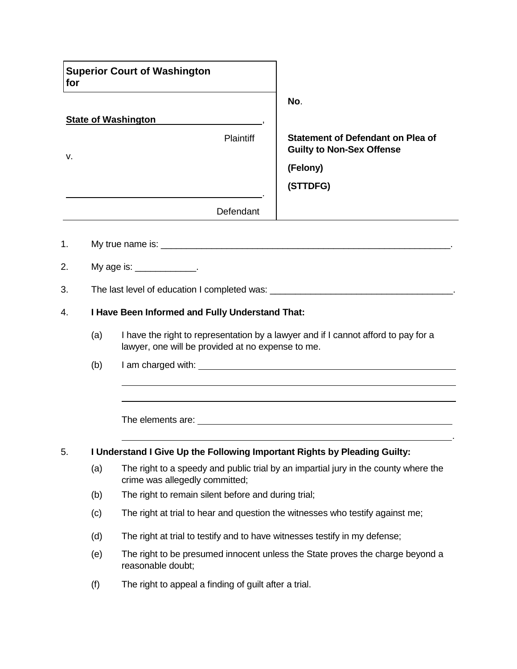| for                                                   |     | <b>Superior Court of Washington</b>                                                                                                     |                                                                                     |  |  |
|-------------------------------------------------------|-----|-----------------------------------------------------------------------------------------------------------------------------------------|-------------------------------------------------------------------------------------|--|--|
|                                                       |     |                                                                                                                                         | No.                                                                                 |  |  |
|                                                       |     | <b>State of Washington</b>                                                                                                              |                                                                                     |  |  |
| v.                                                    |     | Plaintiff                                                                                                                               | <b>Statement of Defendant on Plea of</b><br><b>Guilty to Non-Sex Offense</b>        |  |  |
|                                                       |     |                                                                                                                                         | (Felony)                                                                            |  |  |
|                                                       |     |                                                                                                                                         | (STTDFG)                                                                            |  |  |
|                                                       |     | Defendant                                                                                                                               |                                                                                     |  |  |
| 1.                                                    |     |                                                                                                                                         |                                                                                     |  |  |
| 2.                                                    |     | My age is: $\frac{1}{2}$                                                                                                                |                                                                                     |  |  |
| 3.                                                    |     |                                                                                                                                         | The last level of education I completed was: ___________________________________    |  |  |
| I Have Been Informed and Fully Understand That:<br>4. |     |                                                                                                                                         |                                                                                     |  |  |
|                                                       | (a) | I have the right to representation by a lawyer and if I cannot afford to pay for a<br>lawyer, one will be provided at no expense to me. |                                                                                     |  |  |
|                                                       | (b) |                                                                                                                                         |                                                                                     |  |  |
|                                                       |     |                                                                                                                                         |                                                                                     |  |  |
|                                                       |     |                                                                                                                                         |                                                                                     |  |  |
|                                                       |     |                                                                                                                                         |                                                                                     |  |  |
| 5.                                                    |     | I Understand I Give Up the Following Important Rights by Pleading Guilty:                                                               |                                                                                     |  |  |
|                                                       | (a) | crime was allegedly committed;                                                                                                          | The right to a speedy and public trial by an impartial jury in the county where the |  |  |
|                                                       | (b) | The right to remain silent before and during trial;                                                                                     |                                                                                     |  |  |
|                                                       | (c) | The right at trial to hear and question the witnesses who testify against me;                                                           |                                                                                     |  |  |
|                                                       | (d) | The right at trial to testify and to have witnesses testify in my defense;                                                              |                                                                                     |  |  |
|                                                       | (e) | reasonable doubt;                                                                                                                       | The right to be presumed innocent unless the State proves the charge beyond a       |  |  |
|                                                       | (f) | The right to appeal a finding of guilt after a trial.                                                                                   |                                                                                     |  |  |

٦

Г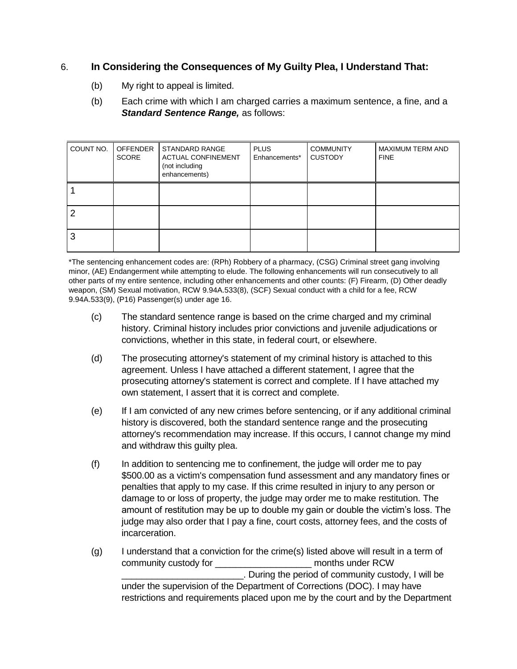# 6. **In Considering the Consequences of My Guilty Plea, I Understand That:**

- (b) My right to appeal is limited.
- (b) Each crime with which I am charged carries a maximum sentence, a fine, and a *Standard Sentence Range,* as follows:

| COUNT NO. | <b>OFFENDER</b><br><b>SCORE</b> | STANDARD RANGE<br><b>ACTUAL CONFINEMENT</b><br>(not including<br>enhancements) | <b>PLUS</b><br>Enhancements* | <b>COMMUNITY</b><br><b>CUSTODY</b> | MAXIMUM TERM AND<br><b>FINE</b> |
|-----------|---------------------------------|--------------------------------------------------------------------------------|------------------------------|------------------------------------|---------------------------------|
|           |                                 |                                                                                |                              |                                    |                                 |
| 2         |                                 |                                                                                |                              |                                    |                                 |
| 3         |                                 |                                                                                |                              |                                    |                                 |

\*The sentencing enhancement codes are: (RPh) Robbery of a pharmacy, (CSG) Criminal street gang involving minor, (AE) Endangerment while attempting to elude. The following enhancements will run consecutively to all other parts of my entire sentence, including other enhancements and other counts: (F) Firearm, (D) Other deadly weapon, (SM) Sexual motivation, RCW 9.94A.533(8), (SCF) Sexual conduct with a child for a fee, RCW 9.94A.533(9), (P16) Passenger(s) under age 16.

- (c) The standard sentence range is based on the crime charged and my criminal history. Criminal history includes prior convictions and juvenile adjudications or convictions, whether in this state, in federal court, or elsewhere.
- (d) The prosecuting attorney's statement of my criminal history is attached to this agreement. Unless I have attached a different statement, I agree that the prosecuting attorney's statement is correct and complete. If I have attached my own statement, I assert that it is correct and complete.
- (e) If I am convicted of any new crimes before sentencing, or if any additional criminal history is discovered, both the standard sentence range and the prosecuting attorney's recommendation may increase. If this occurs, I cannot change my mind and withdraw this guilty plea.
- (f) In addition to sentencing me to confinement, the judge will order me to pay \$500.00 as a victim's compensation fund assessment and any mandatory fines or penalties that apply to my case. If this crime resulted in injury to any person or damage to or loss of property, the judge may order me to make restitution. The amount of restitution may be up to double my gain or double the victim's loss. The judge may also order that I pay a fine, court costs, attorney fees, and the costs of incarceration.
- (g) I understand that a conviction for the crime(s) listed above will result in a term of community custody for \_\_\_\_\_\_\_\_\_\_\_\_\_\_\_\_\_\_\_ months under RCW \_\_\_\_\_\_\_\_\_\_\_\_\_\_\_\_\_\_\_\_\_\_\_\_. During the period of community custody, I will be under the supervision of the Department of Corrections (DOC). I may have restrictions and requirements placed upon me by the court and by the Department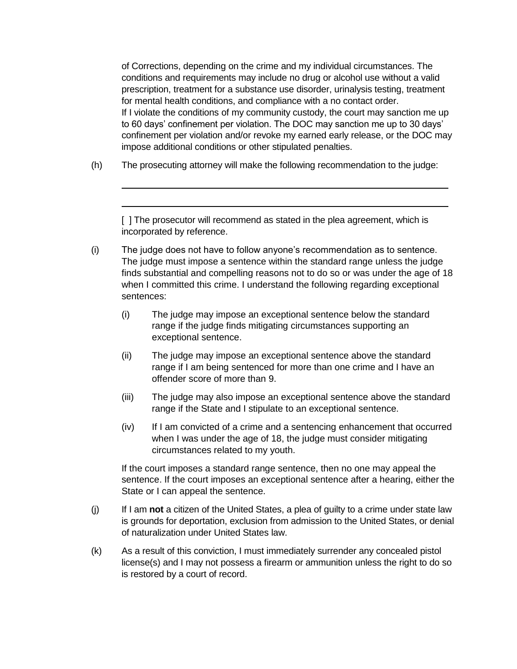of Corrections, depending on the crime and my individual circumstances. The conditions and requirements may include no drug or alcohol use without a valid prescription, treatment for a substance use disorder, urinalysis testing, treatment for mental health conditions, and compliance with a no contact order. If I violate the conditions of my community custody, the court may sanction me up to 60 days' confinement per violation. The DOC may sanction me up to 30 days' confinement per violation and/or revoke my earned early release, or the DOC may impose additional conditions or other stipulated penalties.

(h) The prosecuting attorney will make the following recommendation to the judge:

[ ] The prosecutor will recommend as stated in the plea agreement, which is incorporated by reference.

- (i) The judge does not have to follow anyone's recommendation as to sentence. The judge must impose a sentence within the standard range unless the judge finds substantial and compelling reasons not to do so or was under the age of 18 when I committed this crime. I understand the following regarding exceptional sentences:
	- (i) The judge may impose an exceptional sentence below the standard range if the judge finds mitigating circumstances supporting an exceptional sentence.
	- (ii) The judge may impose an exceptional sentence above the standard range if I am being sentenced for more than one crime and I have an offender score of more than 9.
	- (iii) The judge may also impose an exceptional sentence above the standard range if the State and I stipulate to an exceptional sentence.
	- (iv) If I am convicted of a crime and a sentencing enhancement that occurred when I was under the age of 18, the judge must consider mitigating circumstances related to my youth.

If the court imposes a standard range sentence, then no one may appeal the sentence. If the court imposes an exceptional sentence after a hearing, either the State or I can appeal the sentence.

- (j) If I am **not** a citizen of the United States, a plea of guilty to a crime under state law is grounds for deportation, exclusion from admission to the United States, or denial of naturalization under United States law.
- (k) As a result of this conviction, I must immediately surrender any concealed pistol license(s) and I may not possess a firearm or ammunition unless the right to do so is restored by a court of record.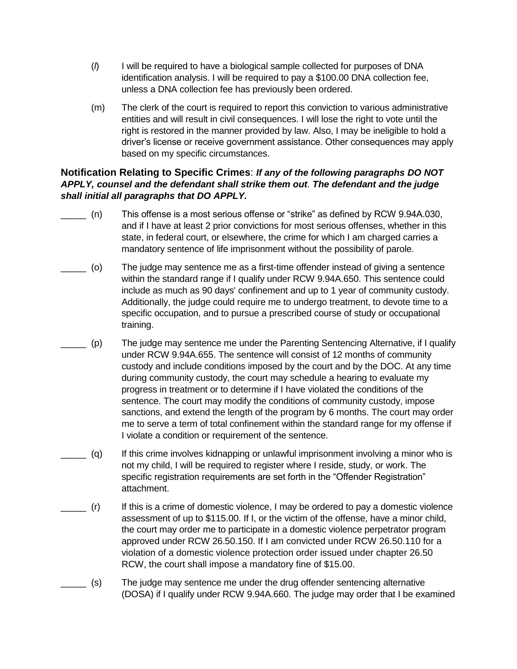- (*l*) I will be required to have a biological sample collected for purposes of DNA identification analysis. I will be required to pay a \$100.00 DNA collection fee, unless a DNA collection fee has previously been ordered.
- (m) The clerk of the court is required to report this conviction to various administrative entities and will result in civil consequences. I will lose the right to vote until the right is restored in the manner provided by law. Also, I may be ineligible to hold a driver's license or receive government assistance. Other consequences may apply based on my specific circumstances.

# **Notification Relating to Specific Crimes**: *If any of the following paragraphs DO NOT APPLY, counsel and the defendant shall strike them out. The defendant and the judge shall initial all paragraphs that DO APPLY.*

- $_$  (n) This offense is a most serious offense or "strike" as defined by RCW 9.94A.030, and if I have at least 2 prior convictions for most serious offenses, whether in this state, in federal court, or elsewhere, the crime for which I am charged carries a mandatory sentence of life imprisonment without the possibility of parole.
- \_\_\_\_\_ (o) The judge may sentence me as a first-time offender instead of giving a sentence within the standard range if I qualify under RCW 9.94A.650. This sentence could include as much as 90 days' confinement and up to 1 year of community custody. Additionally, the judge could require me to undergo treatment, to devote time to a specific occupation, and to pursue a prescribed course of study or occupational training.
- \_\_\_\_\_ (p) The judge may sentence me under the Parenting Sentencing Alternative, if I qualify under RCW 9.94A.655. The sentence will consist of 12 months of community custody and include conditions imposed by the court and by the DOC. At any time during community custody, the court may schedule a hearing to evaluate my progress in treatment or to determine if I have violated the conditions of the sentence. The court may modify the conditions of community custody, impose sanctions, and extend the length of the program by 6 months. The court may order me to serve a term of total confinement within the standard range for my offense if I violate a condition or requirement of the sentence.
- \_\_\_\_\_ (q) If this crime involves kidnapping or unlawful imprisonment involving a minor who is not my child, I will be required to register where I reside, study, or work. The specific registration requirements are set forth in the "Offender Registration" attachment.
- \_\_\_\_\_ (r) If this is a crime of domestic violence, I may be ordered to pay a domestic violence assessment of up to \$115.00. If I, or the victim of the offense, have a minor child, the court may order me to participate in a domestic violence perpetrator program approved under RCW 26.50.150. If I am convicted under RCW 26.50.110 for a violation of a domestic violence protection order issued under chapter 26.50 RCW, the court shall impose a mandatory fine of \$15.00.
- \_\_\_\_\_ (s) The judge may sentence me under the drug offender sentencing alternative (DOSA) if I qualify under RCW 9.94A.660. The judge may order that I be examined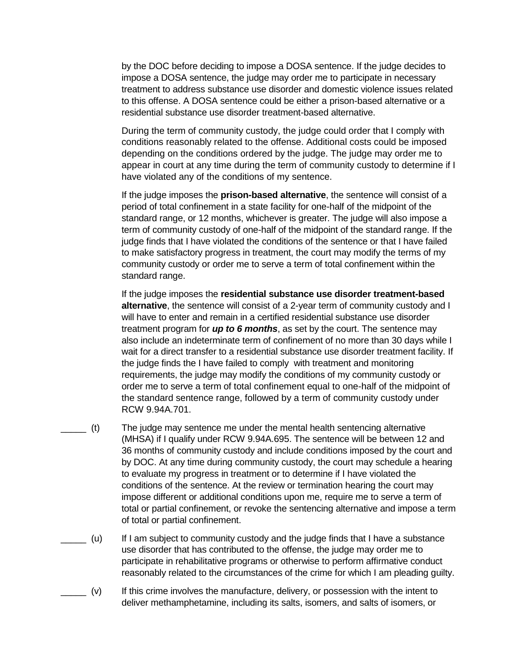by the DOC before deciding to impose a DOSA sentence. If the judge decides to impose a DOSA sentence, the judge may order me to participate in necessary treatment to address substance use disorder and domestic violence issues related to this offense. A DOSA sentence could be either a prison-based alternative or a residential substance use disorder treatment-based alternative.

During the term of community custody, the judge could order that I comply with conditions reasonably related to the offense. Additional costs could be imposed depending on the conditions ordered by the judge. The judge may order me to appear in court at any time during the term of community custody to determine if I have violated any of the conditions of my sentence.

If the judge imposes the **prison-based alternative**, the sentence will consist of a period of total confinement in a state facility for one-half of the midpoint of the standard range, or 12 months, whichever is greater. The judge will also impose a term of community custody of one-half of the midpoint of the standard range. If the judge finds that I have violated the conditions of the sentence or that I have failed to make satisfactory progress in treatment, the court may modify the terms of my community custody or order me to serve a term of total confinement within the standard range.

If the judge imposes the **residential substance use disorder treatment-based alternative**, the sentence will consist of a 2-year term of community custody and I will have to enter and remain in a certified residential substance use disorder treatment program for *up to 6 months*, as set by the court. The sentence may also include an indeterminate term of confinement of no more than 30 days while I wait for a direct transfer to a residential substance use disorder treatment facility. If the judge finds the I have failed to comply with treatment and monitoring requirements, the judge may modify the conditions of my community custody or order me to serve a term of total confinement equal to one-half of the midpoint of the standard sentence range, followed by a term of community custody under RCW 9.94A.701.

- \_\_\_\_\_ (t) The judge may sentence me under the mental health sentencing alternative (MHSA) if I qualify under RCW 9.94A.695. The sentence will be between 12 and 36 months of community custody and include conditions imposed by the court and by DOC. At any time during community custody, the court may schedule a hearing to evaluate my progress in treatment or to determine if I have violated the conditions of the sentence. At the review or termination hearing the court may impose different or additional conditions upon me, require me to serve a term of total or partial confinement, or revoke the sentencing alternative and impose a term of total or partial confinement.
- \_\_\_\_\_ (u) If I am subject to community custody and the judge finds that I have a substance use disorder that has contributed to the offense, the judge may order me to participate in rehabilitative programs or otherwise to perform affirmative conduct reasonably related to the circumstances of the crime for which I am pleading guilty.
- \_\_\_\_\_ (v) If this crime involves the manufacture, delivery, or possession with the intent to deliver methamphetamine, including its salts, isomers, and salts of isomers, or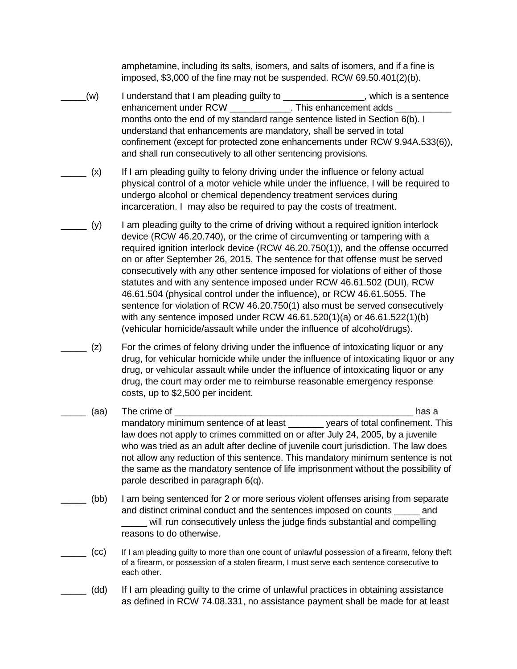amphetamine, including its salts, isomers, and salts of isomers, and if a fine is imposed, \$3,000 of the fine may not be suspended. RCW 69.50.401(2)(b).

- $L(w)$  I understand that I am pleading guilty to  $L_1$  and  $L_2$  which is a sentence enhancement under RCW enhancement adds months onto the end of my standard range sentence listed in Section 6(b). I understand that enhancements are mandatory, shall be served in total confinement (except for protected zone enhancements under RCW 9.94A.533(6)), and shall run consecutively to all other sentencing provisions.
- $($  x) If I am pleading guilty to felony driving under the influence or felony actual physical control of a motor vehicle while under the influence, I will be required to undergo alcohol or chemical dependency treatment services during incarceration. I may also be required to pay the costs of treatment.
- $\Box$  (y) I am pleading guilty to the crime of driving without a required ignition interlock device (RCW 46.20.740), or the crime of circumventing or tampering with a required ignition interlock device (RCW 46.20.750(1)), and the offense occurred on or after September 26, 2015. The sentence for that offense must be served consecutively with any other sentence imposed for violations of either of those statutes and with any sentence imposed under RCW 46.61.502 (DUI), RCW 46.61.504 (physical control under the influence), or RCW 46.61.5055. The sentence for violation of RCW 46.20.750(1) also must be served consecutively with any sentence imposed under RCW 46.61.520(1)(a) or 46.61.522(1)(b) (vehicular homicide/assault while under the influence of alcohol/drugs).
- $(2)$  For the crimes of felony driving under the influence of intoxicating liquor or any drug, for vehicular homicide while under the influence of intoxicating liquor or any drug, or vehicular assault while under the influence of intoxicating liquor or any drug, the court may order me to reimburse reasonable emergency response costs, up to \$2,500 per incident.
- \_\_\_\_\_ (aa) The crime of \_\_\_\_\_\_\_\_\_\_\_\_\_\_\_\_\_\_\_\_\_\_\_\_\_\_\_\_\_\_\_\_\_\_\_\_\_\_\_\_\_\_\_\_\_\_\_ has a mandatory minimum sentence of at least \_\_\_\_\_\_\_ years of total confinement. This law does not apply to crimes committed on or after July 24, 2005, by a juvenile who was tried as an adult after decline of juvenile court jurisdiction. The law does not allow any reduction of this sentence. This mandatory minimum sentence is not the same as the mandatory sentence of life imprisonment without the possibility of parole described in paragraph 6(q).
- (bb) I am being sentenced for 2 or more serious violent offenses arising from separate and distinct criminal conduct and the sentences imposed on counts \_\_\_\_\_ and will run consecutively unless the judge finds substantial and compelling reasons to do otherwise.
- \_\_\_\_\_ (cc) If I am pleading guilty to more than one count of unlawful possession of a firearm, felony theft of a firearm, or possession of a stolen firearm, I must serve each sentence consecutive to each other.
- (dd) If I am pleading guilty to the crime of unlawful practices in obtaining assistance as defined in RCW 74.08.331, no assistance payment shall be made for at least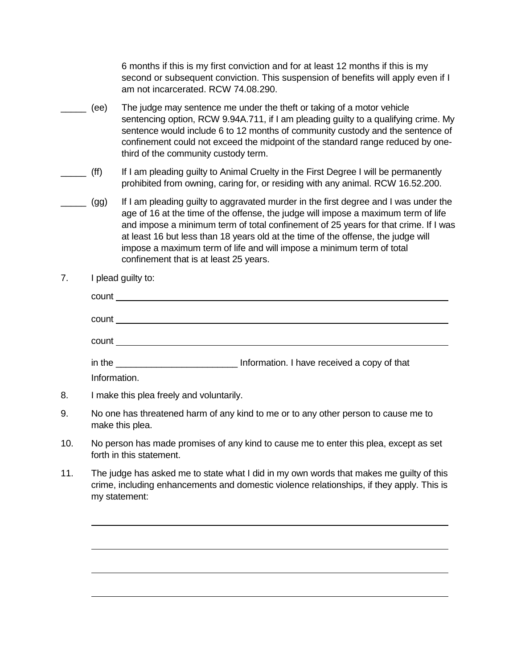6 months if this is my first conviction and for at least 12 months if this is my second or subsequent conviction. This suspension of benefits will apply even if I am not incarcerated. RCW 74.08.290.

- \_\_\_\_\_ (ee) The judge may sentence me under the theft or taking of a motor vehicle sentencing option, RCW 9.94A.711, if I am pleading guilty to a qualifying crime. My sentence would include 6 to 12 months of community custody and the sentence of confinement could not exceed the midpoint of the standard range reduced by onethird of the community custody term.
- \_\_\_\_\_ (ff) If I am pleading guilty to Animal Cruelty in the First Degree I will be permanently prohibited from owning, caring for, or residing with any animal. RCW 16.52.200.
- \_\_\_\_\_ (gg) If I am pleading guilty to aggravated murder in the first degree and I was under the age of 16 at the time of the offense, the judge will impose a maximum term of life and impose a minimum term of total confinement of 25 years for that crime. If I was at least 16 but less than 18 years old at the time of the offense, the judge will impose a maximum term of life and will impose a minimum term of total confinement that is at least 25 years.
- 7. I plead guilty to:

| count        |                                             |
|--------------|---------------------------------------------|
| count        |                                             |
| count        |                                             |
|              |                                             |
|              | Information. I have received a copy of that |
| Information. |                                             |

- 8. I make this plea freely and voluntarily.
- 9. No one has threatened harm of any kind to me or to any other person to cause me to make this plea.
- 10. No person has made promises of any kind to cause me to enter this plea, except as set forth in this statement.
- 11. The judge has asked me to state what I did in my own words that makes me guilty of this crime, including enhancements and domestic violence relationships, if they apply. This is my statement: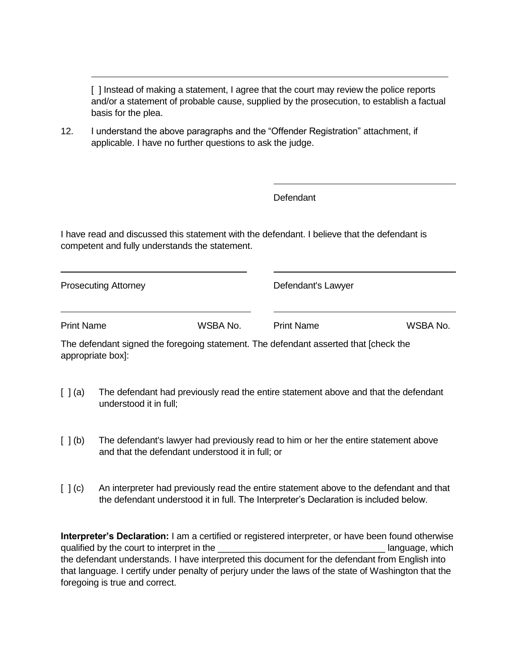[ ] Instead of making a statement, I agree that the court may review the police reports and/or a statement of probable cause, supplied by the prosecution, to establish a factual basis for the plea.

12. I understand the above paragraphs and the "Offender Registration" attachment, if applicable. I have no further questions to ask the judge.

Defendant

I have read and discussed this statement with the defendant. I believe that the defendant is competent and fully understands the statement.

| <b>Prosecuting Attorney</b>                                                           |          | Defendant's Lawyer |          |
|---------------------------------------------------------------------------------------|----------|--------------------|----------|
| <b>Print Name</b>                                                                     | WSBA No. | <b>Print Name</b>  | WSBA No. |
| The defendent pianed the feregoing statement. The defendent conorted that [aboal: the |          |                    |          |

The defendant signed the foregoing statement. The defendant asserted that [check the appropriate box]:

- [ ] (a) The defendant had previously read the entire statement above and that the defendant understood it in full;
- [ ] (b) The defendant's lawyer had previously read to him or her the entire statement above and that the defendant understood it in full; or
- [  $|$  (c) An interpreter had previously read the entire statement above to the defendant and that the defendant understood it in full. The Interpreter's Declaration is included below.

**Interpreter's Declaration:** I am a certified or registered interpreter, or have been found otherwise qualified by the court to interpret in the the set of the state of the language, which the defendant understands. I have interpreted this document for the defendant from English into that language. I certify under penalty of perjury under the laws of the state of Washington that the foregoing is true and correct.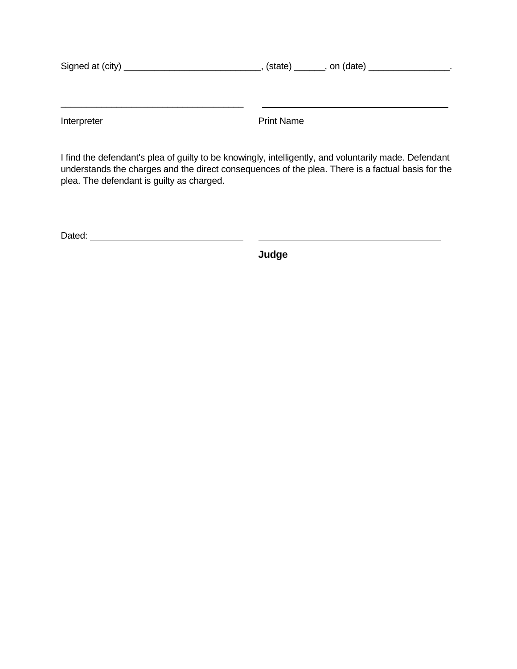| Signed at (city) | $(state)$ _______, on $(data)$ |  |
|------------------|--------------------------------|--|
|                  |                                |  |
|                  |                                |  |
|                  |                                |  |

Interpreter **Interpreter** Print Name

I find the defendant's plea of guilty to be knowingly, intelligently, and voluntarily made. Defendant understands the charges and the direct consequences of the plea. There is a factual basis for the plea. The defendant is guilty as charged.

**Judge**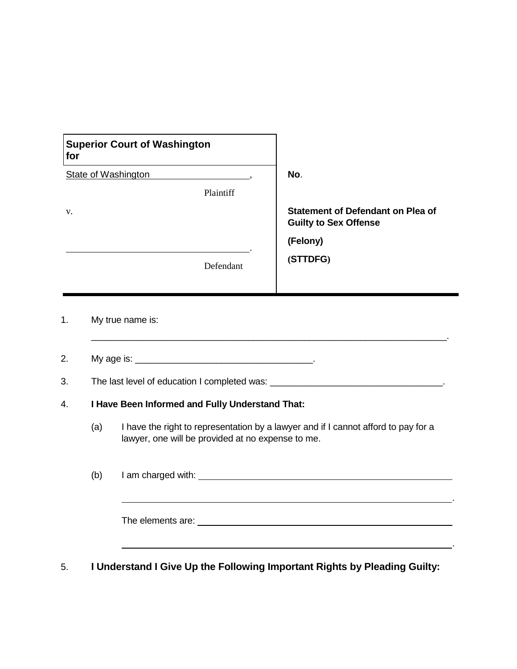| <b>Superior Court of Washington</b><br>for |           |                                                                   |
|--------------------------------------------|-----------|-------------------------------------------------------------------|
| <b>State of Washington</b>                 |           | No.                                                               |
|                                            | Plaintiff |                                                                   |
| V.                                         |           | Statement of Defendant on Plea of<br><b>Guilty to Sex Offense</b> |
|                                            |           | (Felony)                                                          |
|                                            | Defendant | (STTDFG)                                                          |
|                                            |           |                                                                   |

#### 1. My true name is:

2. My age is: \_\_\_\_\_\_\_\_\_\_\_\_\_\_\_\_\_\_\_\_\_\_\_\_\_\_\_\_\_\_\_\_\_\_\_.

3. The last level of education I completed was: \_\_\_\_\_\_\_\_\_\_\_\_\_\_\_\_\_\_\_\_\_\_\_\_\_\_\_\_\_\_\_\_\_\_.

#### 4. **I Have Been Informed and Fully Understand That:**

(a) I have the right to representation by a lawyer and if I cannot afford to pay for a lawyer, one will be provided at no expense to me.

 $\mathcal{L}_\text{max} = \mathcal{L}_\text{max} = \mathcal{L}_\text{max}$  , where  $\mathcal{L}_\text{max} = \mathcal{L}_\text{max}$ 

(b) I am charged with:  $\frac{1}{2}$  am charged with:  $\frac{1}{2}$  am charged with:  $\frac{1}{2}$  am charged with:  $\frac{1}{2}$  am charged with:  $\frac{1}{2}$  and  $\frac{1}{2}$  and  $\frac{1}{2}$  and  $\frac{1}{2}$  and  $\frac{1}{2}$  and  $\frac{1}{2}$  and  $\frac{1}{2$ 

.

.

The elements are:

5. **I Understand I Give Up the Following Important Rights by Pleading Guilty:**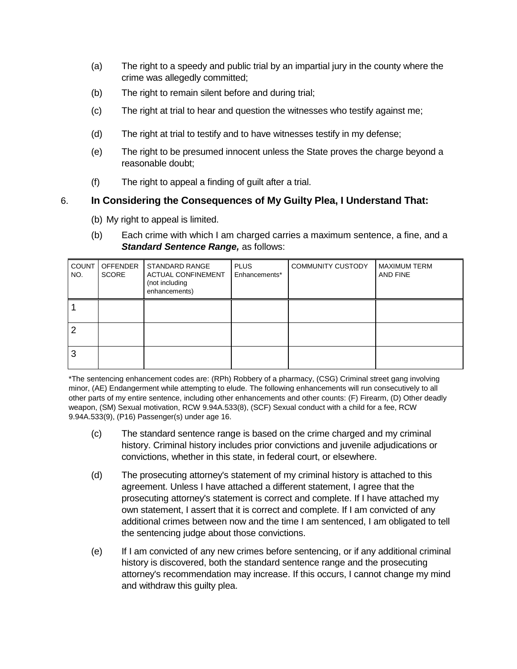- (a) The right to a speedy and public trial by an impartial jury in the county where the crime was allegedly committed;
- (b) The right to remain silent before and during trial;
- (c) The right at trial to hear and question the witnesses who testify against me;
- (d) The right at trial to testify and to have witnesses testify in my defense;
- (e) The right to be presumed innocent unless the State proves the charge beyond a reasonable doubt;
- (f) The right to appeal a finding of guilt after a trial.

# 6. **In Considering the Consequences of My Guilty Plea, I Understand That:**

- (b) My right to appeal is limited.
- (b) Each crime with which I am charged carries a maximum sentence, a fine, and a *Standard Sentence Range,* as follows:

| <b>COUNT</b><br>NO. | <b>OFFENDER</b><br><b>SCORE</b> | <b>STANDARD RANGE</b><br><b>ACTUAL CONFINEMENT</b><br>(not including<br>enhancements) | <b>PLUS</b><br>Enhancements* | <b>COMMUNITY CUSTODY</b> | <b>MAXIMUM TERM</b><br>AND FINE |
|---------------------|---------------------------------|---------------------------------------------------------------------------------------|------------------------------|--------------------------|---------------------------------|
|                     |                                 |                                                                                       |                              |                          |                                 |
| 2                   |                                 |                                                                                       |                              |                          |                                 |
| 3                   |                                 |                                                                                       |                              |                          |                                 |

\*The sentencing enhancement codes are: (RPh) Robbery of a pharmacy, (CSG) Criminal street gang involving minor, (AE) Endangerment while attempting to elude. The following enhancements will run consecutively to all other parts of my entire sentence, including other enhancements and other counts: (F) Firearm, (D) Other deadly weapon, (SM) Sexual motivation, RCW 9.94A.533(8), (SCF) Sexual conduct with a child for a fee, RCW 9.94A.533(9), (P16) Passenger(s) under age 16.

- (c) The standard sentence range is based on the crime charged and my criminal history. Criminal history includes prior convictions and juvenile adjudications or convictions, whether in this state, in federal court, or elsewhere.
- (d) The prosecuting attorney's statement of my criminal history is attached to this agreement. Unless I have attached a different statement, I agree that the prosecuting attorney's statement is correct and complete. If I have attached my own statement, I assert that it is correct and complete. If I am convicted of any additional crimes between now and the time I am sentenced, I am obligated to tell the sentencing judge about those convictions.
- (e) If I am convicted of any new crimes before sentencing, or if any additional criminal history is discovered, both the standard sentence range and the prosecuting attorney's recommendation may increase. If this occurs, I cannot change my mind and withdraw this guilty plea.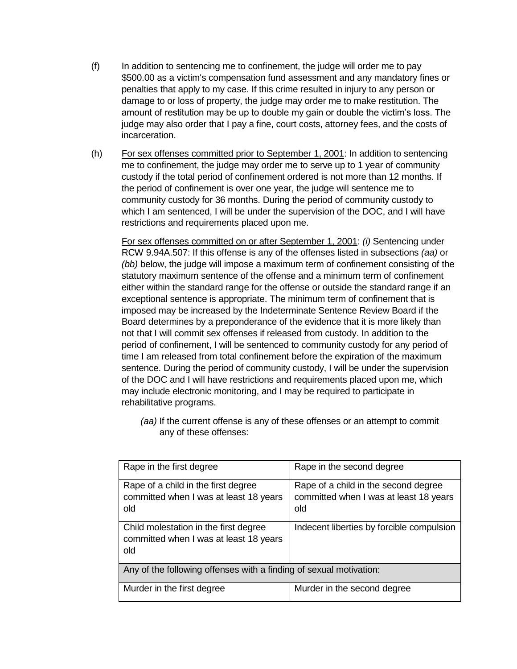- (f) In addition to sentencing me to confinement, the judge will order me to pay \$500.00 as a victim's compensation fund assessment and any mandatory fines or penalties that apply to my case. If this crime resulted in injury to any person or damage to or loss of property, the judge may order me to make restitution. The amount of restitution may be up to double my gain or double the victim's loss. The judge may also order that I pay a fine, court costs, attorney fees, and the costs of incarceration.
- (h) For sex offenses committed prior to September 1, 2001: In addition to sentencing me to confinement, the judge may order me to serve up to 1 year of community custody if the total period of confinement ordered is not more than 12 months. If the period of confinement is over one year, the judge will sentence me to community custody for 36 months. During the period of community custody to which I am sentenced, I will be under the supervision of the DOC, and I will have restrictions and requirements placed upon me.

For sex offenses committed on or after September 1, 2001: *(i)* Sentencing under RCW 9.94A.507: If this offense is any of the offenses listed in subsections *(aa)* or *(bb)* below, the judge will impose a maximum term of confinement consisting of the statutory maximum sentence of the offense and a minimum term of confinement either within the standard range for the offense or outside the standard range if an exceptional sentence is appropriate. The minimum term of confinement that is imposed may be increased by the Indeterminate Sentence Review Board if the Board determines by a preponderance of the evidence that it is more likely than not that I will commit sex offenses if released from custody. In addition to the period of confinement, I will be sentenced to community custody for any period of time I am released from total confinement before the expiration of the maximum sentence. During the period of community custody, I will be under the supervision of the DOC and I will have restrictions and requirements placed upon me, which may include electronic monitoring, and I may be required to participate in rehabilitative programs.

*(aa)* If the current offense is any of these offenses or an attempt to commit any of these offenses:

| Rape in the first degree                                                               | Rape in the second degree                                                             |
|----------------------------------------------------------------------------------------|---------------------------------------------------------------------------------------|
| Rape of a child in the first degree<br>committed when I was at least 18 years<br>old   | Rape of a child in the second degree<br>committed when I was at least 18 years<br>old |
| Child molestation in the first degree<br>committed when I was at least 18 years<br>old | Indecent liberties by forcible compulsion                                             |
| Any of the following offenses with a finding of sexual motivation:                     |                                                                                       |
| Murder in the first degree                                                             | Murder in the second degree                                                           |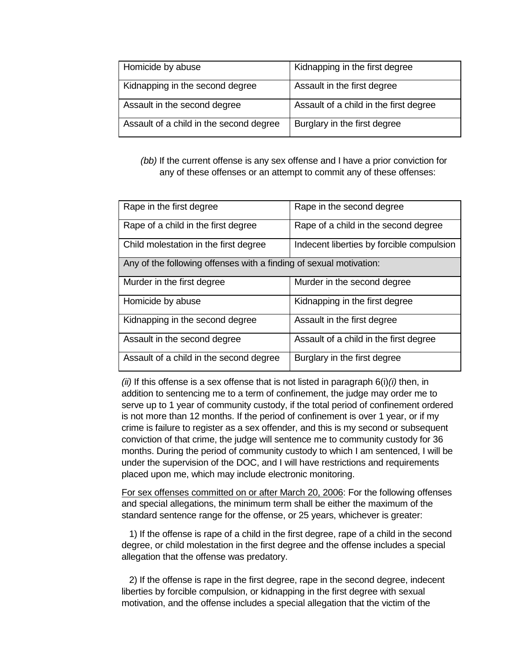| Homicide by abuse                       | Kidnapping in the first degree         |
|-----------------------------------------|----------------------------------------|
| Kidnapping in the second degree         | Assault in the first degree            |
| Assault in the second degree            | Assault of a child in the first degree |
| Assault of a child in the second degree | Burglary in the first degree           |

*(bb)* If the current offense is any sex offense and I have a prior conviction for any of these offenses or an attempt to commit any of these offenses:

| Rape in the first degree                                           | Rape in the second degree                 |
|--------------------------------------------------------------------|-------------------------------------------|
| Rape of a child in the first degree                                | Rape of a child in the second degree      |
| Child molestation in the first degree                              | Indecent liberties by forcible compulsion |
| Any of the following offenses with a finding of sexual motivation: |                                           |
| Murder in the first degree                                         | Murder in the second degree               |
| Homicide by abuse                                                  | Kidnapping in the first degree            |
| Kidnapping in the second degree                                    | Assault in the first degree               |
| Assault in the second degree                                       | Assault of a child in the first degree    |
| Assault of a child in the second degree                            | Burglary in the first degree              |

*(ii)* If this offense is a sex offense that is not listed in paragraph 6(i)*(i)* then, in addition to sentencing me to a term of confinement, the judge may order me to serve up to 1 year of community custody, if the total period of confinement ordered is not more than 12 months. If the period of confinement is over 1 year, or if my crime is failure to register as a sex offender, and this is my second or subsequent conviction of that crime, the judge will sentence me to community custody for 36 months. During the period of community custody to which I am sentenced, I will be under the supervision of the DOC, and I will have restrictions and requirements placed upon me, which may include electronic monitoring.

For sex offenses committed on or after March 20, 2006: For the following offenses and special allegations, the minimum term shall be either the maximum of the standard sentence range for the offense, or 25 years, whichever is greater:

 1) If the offense is rape of a child in the first degree, rape of a child in the second degree, or child molestation in the first degree and the offense includes a special allegation that the offense was predatory.

 2) If the offense is rape in the first degree, rape in the second degree, indecent liberties by forcible compulsion, or kidnapping in the first degree with sexual motivation, and the offense includes a special allegation that the victim of the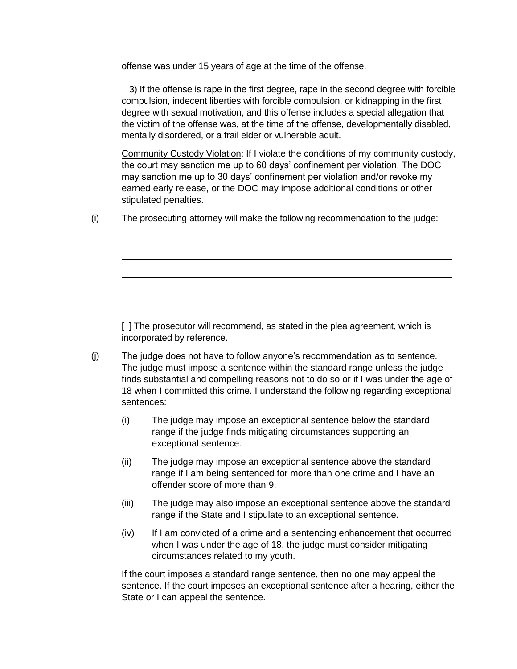offense was under 15 years of age at the time of the offense.

 3) If the offense is rape in the first degree, rape in the second degree with forcible compulsion, indecent liberties with forcible compulsion, or kidnapping in the first degree with sexual motivation, and this offense includes a special allegation that the victim of the offense was, at the time of the offense, developmentally disabled, mentally disordered, or a frail elder or vulnerable adult.

Community Custody Violation: If I violate the conditions of my community custody, the court may sanction me up to 60 days' confinement per violation. The DOC may sanction me up to 30 days' confinement per violation and/or revoke my earned early release, or the DOC may impose additional conditions or other stipulated penalties.

(i) The prosecuting attorney will make the following recommendation to the judge:

[] The prosecutor will recommend, as stated in the plea agreement, which is incorporated by reference.

- (j) The judge does not have to follow anyone's recommendation as to sentence. The judge must impose a sentence within the standard range unless the judge finds substantial and compelling reasons not to do so or if I was under the age of 18 when I committed this crime. I understand the following regarding exceptional sentences:
	- (i) The judge may impose an exceptional sentence below the standard range if the judge finds mitigating circumstances supporting an exceptional sentence.
	- (ii) The judge may impose an exceptional sentence above the standard range if I am being sentenced for more than one crime and I have an offender score of more than 9.
	- (iii) The judge may also impose an exceptional sentence above the standard range if the State and I stipulate to an exceptional sentence.
	- (iv) If I am convicted of a crime and a sentencing enhancement that occurred when I was under the age of 18, the judge must consider mitigating circumstances related to my youth.

If the court imposes a standard range sentence, then no one may appeal the sentence. If the court imposes an exceptional sentence after a hearing, either the State or I can appeal the sentence.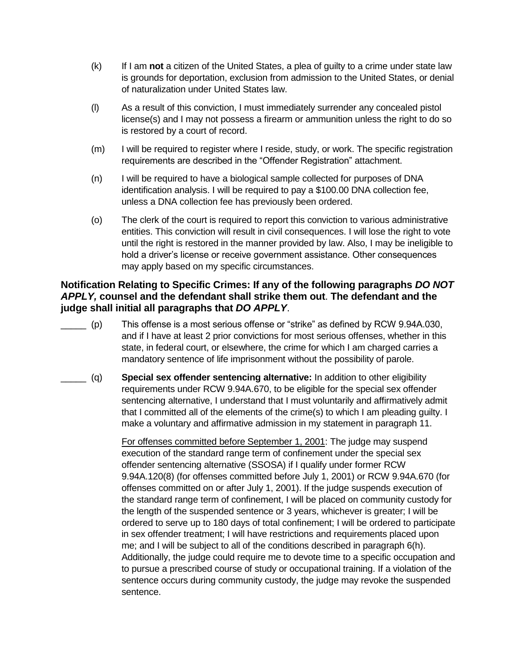- (k) If I am **not** a citizen of the United States, a plea of guilty to a crime under state law is grounds for deportation, exclusion from admission to the United States, or denial of naturalization under United States law.
- (l) As a result of this conviction, I must immediately surrender any concealed pistol license(s) and I may not possess a firearm or ammunition unless the right to do so is restored by a court of record.
- (m) I will be required to register where I reside, study, or work. The specific registration requirements are described in the "Offender Registration" attachment.
- (n) I will be required to have a biological sample collected for purposes of DNA identification analysis. I will be required to pay a \$100.00 DNA collection fee, unless a DNA collection fee has previously been ordered.
- (o) The clerk of the court is required to report this conviction to various administrative entities. This conviction will result in civil consequences. I will lose the right to vote until the right is restored in the manner provided by law. Also, I may be ineligible to hold a driver's license or receive government assistance. Other consequences may apply based on my specific circumstances.

# **Notification Relating to Specific Crimes: If any of the following paragraphs** *DO NOT APPLY,* **counsel and the defendant shall strike them out**. **The defendant and the judge shall initial all paragraphs that** *DO APPLY*.

- \_\_\_\_\_ (p) This offense is a most serious offense or "strike" as defined by RCW 9.94A.030, and if I have at least 2 prior convictions for most serious offenses, whether in this state, in federal court, or elsewhere, the crime for which I am charged carries a mandatory sentence of life imprisonment without the possibility of parole.
- \_\_\_\_\_ (q) **Special sex offender sentencing alternative:** In addition to other eligibility requirements under RCW 9.94A.670, to be eligible for the special sex offender sentencing alternative, I understand that I must voluntarily and affirmatively admit that I committed all of the elements of the crime(s) to which I am pleading guilty. I make a voluntary and affirmative admission in my statement in paragraph 11.

For offenses committed before September 1, 2001: The judge may suspend execution of the standard range term of confinement under the special sex offender sentencing alternative (SSOSA) if I qualify under former RCW 9.94A.120(8) (for offenses committed before July 1, 2001) or RCW 9.94A.670 (for offenses committed on or after July 1, 2001). If the judge suspends execution of the standard range term of confinement, I will be placed on community custody for the length of the suspended sentence or 3 years, whichever is greater; I will be ordered to serve up to 180 days of total confinement; I will be ordered to participate in sex offender treatment; I will have restrictions and requirements placed upon me; and I will be subject to all of the conditions described in paragraph 6(h). Additionally, the judge could require me to devote time to a specific occupation and to pursue a prescribed course of study or occupational training. If a violation of the sentence occurs during community custody, the judge may revoke the suspended sentence.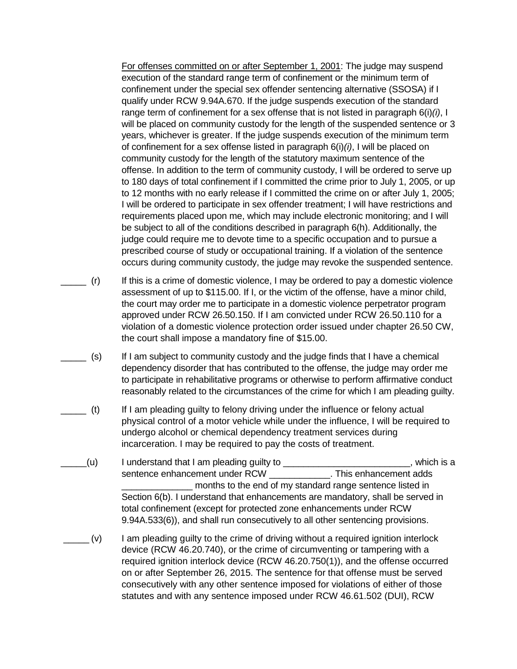For offenses committed on or after September 1, 2001: The judge may suspend execution of the standard range term of confinement or the minimum term of confinement under the special sex offender sentencing alternative (SSOSA) if I qualify under RCW 9.94A.670. If the judge suspends execution of the standard range term of confinement for a sex offense that is not listed in paragraph 6(i)*(i)*, I will be placed on community custody for the length of the suspended sentence or 3 years, whichever is greater. If the judge suspends execution of the minimum term of confinement for a sex offense listed in paragraph 6(i)*(i)*, I will be placed on community custody for the length of the statutory maximum sentence of the offense. In addition to the term of community custody, I will be ordered to serve up to 180 days of total confinement if I committed the crime prior to July 1, 2005, or up to 12 months with no early release if I committed the crime on or after July 1, 2005; I will be ordered to participate in sex offender treatment; I will have restrictions and requirements placed upon me, which may include electronic monitoring; and I will be subject to all of the conditions described in paragraph 6(h). Additionally, the judge could require me to devote time to a specific occupation and to pursue a prescribed course of study or occupational training. If a violation of the sentence occurs during community custody, the judge may revoke the suspended sentence.

- $_$  (r) If this is a crime of domestic violence, I may be ordered to pay a domestic violence assessment of up to \$115.00. If I, or the victim of the offense, have a minor child, the court may order me to participate in a domestic violence perpetrator program approved under RCW 26.50.150. If I am convicted under RCW 26.50.110 for a violation of a domestic violence protection order issued under chapter 26.50 CW, the court shall impose a mandatory fine of \$15.00.
	- \_\_\_\_\_ (s) If I am subject to community custody and the judge finds that I have a chemical dependency disorder that has contributed to the offense, the judge may order me to participate in rehabilitative programs or otherwise to perform affirmative conduct reasonably related to the circumstances of the crime for which I am pleading guilty.
	- \_\_\_\_\_ (t) If I am pleading guilty to felony driving under the influence or felony actual physical control of a motor vehicle while under the influence, I will be required to undergo alcohol or chemical dependency treatment services during incarceration. I may be required to pay the costs of treatment.
- \_\_\_\_\_(u) I understand that I am pleading guilty to \_\_\_\_\_\_\_\_\_\_\_\_\_\_\_\_\_\_\_\_\_\_\_\_\_, which is a sentence enhancement under RCW \_\_\_\_\_\_\_\_\_\_\_\_\_. This enhancement adds months to the end of my standard range sentence listed in Section 6(b). I understand that enhancements are mandatory, shall be served in total confinement (except for protected zone enhancements under RCW 9.94A.533(6)), and shall run consecutively to all other sentencing provisions.
- $\Box$  (v) I am pleading guilty to the crime of driving without a required ignition interlock device (RCW 46.20.740), or the crime of circumventing or tampering with a required ignition interlock device (RCW 46.20.750(1)), and the offense occurred on or after September 26, 2015. The sentence for that offense must be served consecutively with any other sentence imposed for violations of either of those statutes and with any sentence imposed under RCW 46.61.502 (DUI), RCW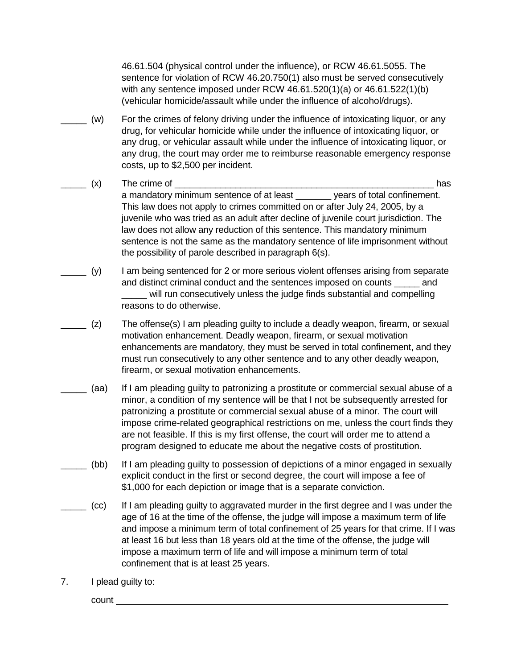46.61.504 (physical control under the influence), or RCW 46.61.5055. The sentence for violation of RCW 46.20.750(1) also must be served consecutively with any sentence imposed under RCW 46.61.520(1)(a) or 46.61.522(1)(b) (vehicular homicide/assault while under the influence of alcohol/drugs).

- \_\_\_\_\_ (w) For the crimes of felony driving under the influence of intoxicating liquor, or any drug, for vehicular homicide while under the influence of intoxicating liquor, or any drug, or vehicular assault while under the influence of intoxicating liquor, or any drug, the court may order me to reimburse reasonable emergency response costs, up to \$2,500 per incident.
- \_\_\_\_\_ (x) The crime of \_\_\_\_\_\_\_\_\_\_\_\_\_\_\_\_\_\_\_\_\_\_\_\_\_\_\_\_\_\_\_\_\_\_\_\_\_\_\_\_\_\_\_\_\_\_\_\_\_\_\_ has a mandatory minimum sentence of at least \_\_\_\_\_\_\_ years of total confinement. This law does not apply to crimes committed on or after July 24, 2005, by a juvenile who was tried as an adult after decline of juvenile court jurisdiction. The law does not allow any reduction of this sentence. This mandatory minimum sentence is not the same as the mandatory sentence of life imprisonment without the possibility of parole described in paragraph 6(s).
- \_\_\_\_\_ (y) I am being sentenced for 2 or more serious violent offenses arising from separate and distinct criminal conduct and the sentences imposed on counts \_\_\_\_\_ and will run consecutively unless the judge finds substantial and compelling reasons to do otherwise.
- (z) The offense(s) I am pleading guilty to include a deadly weapon, firearm, or sexual motivation enhancement. Deadly weapon, firearm, or sexual motivation enhancements are mandatory, they must be served in total confinement, and they must run consecutively to any other sentence and to any other deadly weapon, firearm, or sexual motivation enhancements.
- \_\_\_\_\_ (aa) If I am pleading guilty to patronizing a prostitute or commercial sexual abuse of a minor, a condition of my sentence will be that I not be subsequently arrested for patronizing a prostitute or commercial sexual abuse of a minor. The court will impose crime-related geographical restrictions on me, unless the court finds they are not feasible. If this is my first offense, the court will order me to attend a program designed to educate me about the negative costs of prostitution.
- \_\_\_\_\_ (bb) If I am pleading guilty to possession of depictions of a minor engaged in sexually explicit conduct in the first or second degree, the court will impose a fee of \$1,000 for each depiction or image that is a separate conviction.
- \_\_\_\_\_ (cc) If I am pleading guilty to aggravated murder in the first degree and I was under the age of 16 at the time of the offense, the judge will impose a maximum term of life and impose a minimum term of total confinement of 25 years for that crime. If I was at least 16 but less than 18 years old at the time of the offense, the judge will impose a maximum term of life and will impose a minimum term of total confinement that is at least 25 years.
- 7. I plead guilty to:

count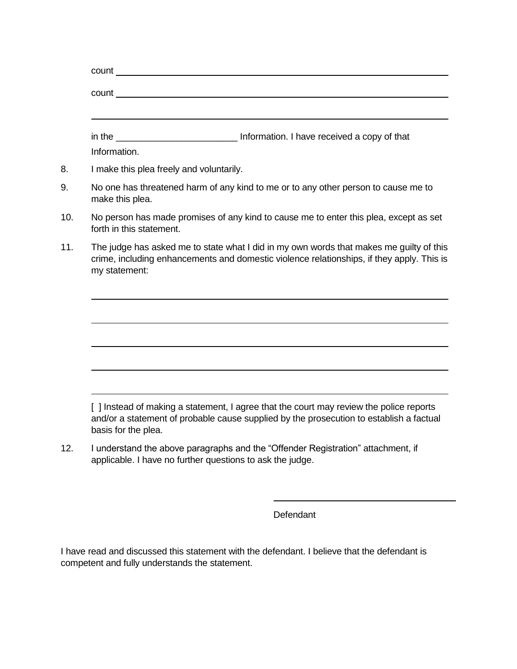|                                          | in the <b>contract of the contract of the contract of the contract of the contract of the contract of the contract of the contract of the contract of the contract of the contract of the contract of the contract of the contra</b> |
|------------------------------------------|--------------------------------------------------------------------------------------------------------------------------------------------------------------------------------------------------------------------------------------|
| Information.                             |                                                                                                                                                                                                                                      |
| I make this plea freely and voluntarily. |                                                                                                                                                                                                                                      |
| make this plea.                          | No one has threatened harm of any kind to me or to any other person to cause me to                                                                                                                                                   |
| forth in this statement.                 | No person has made promises of any kind to cause me to enter this plea, except as set                                                                                                                                                |
| my statement:                            | The judge has asked me to state what I did in my own words that makes me guilty of this<br>crime, including enhancements and domestic violence relationships, if they apply. This is                                                 |
|                                          |                                                                                                                                                                                                                                      |
|                                          |                                                                                                                                                                                                                                      |
|                                          |                                                                                                                                                                                                                                      |
|                                          |                                                                                                                                                                                                                                      |

12. I understand the above paragraphs and the "Offender Registration" attachment, if applicable. I have no further questions to ask the judge.

**Defendant** 

I have read and discussed this statement with the defendant. I believe that the defendant is competent and fully understands the statement.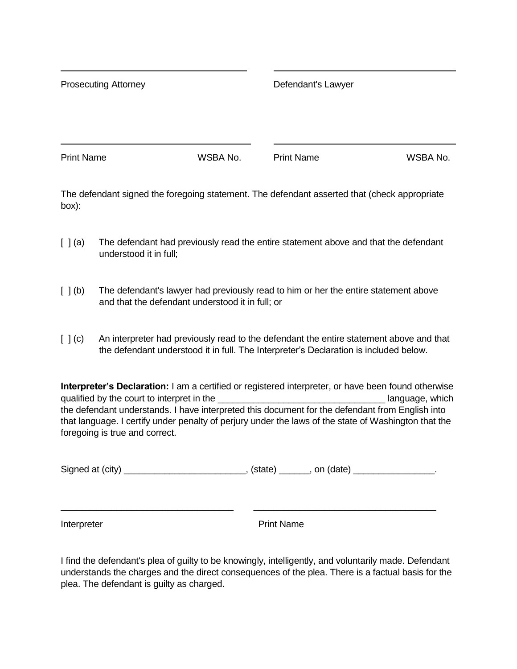Prosecuting Attorney **Defendant's Lawyer** 

Print Name **WSBA No.** Print Name WSBA No.

The defendant signed the foregoing statement. The defendant asserted that (check appropriate box):

- [ ] (a) The defendant had previously read the entire statement above and that the defendant understood it in full;
- [ ] (b) The defendant's lawyer had previously read to him or her the entire statement above and that the defendant understood it in full; or
- [ ] (c) An interpreter had previously read to the defendant the entire statement above and that the defendant understood it in full. The Interpreter's Declaration is included below.

**Interpreter's Declaration:** I am a certified or registered interpreter, or have been found otherwise qualified by the court to interpret in the **we are all and the language** which the defendant understands. I have interpreted this document for the defendant from English into that language. I certify under penalty of perjury under the laws of the state of Washington that the foregoing is true and correct.

Signed at (city) \_\_\_\_\_\_\_\_\_\_\_\_\_\_\_\_\_\_\_\_\_\_\_\_\_\_\_\_\_\_\_\_, (state) \_\_\_\_\_\_\_\_, on (date) \_\_\_\_\_\_\_\_\_\_\_\_\_\_\_\_\_\_\_.

\_\_\_\_\_\_\_\_\_\_\_\_\_\_\_\_\_\_\_\_\_\_\_\_\_\_\_\_\_\_\_\_\_\_ \_\_\_\_\_\_\_\_\_\_\_\_\_\_\_\_\_\_\_\_\_\_\_\_\_\_\_\_\_\_\_\_\_\_\_\_

Interpreter **Print Name** 

I find the defendant's plea of guilty to be knowingly, intelligently, and voluntarily made. Defendant understands the charges and the direct consequences of the plea. There is a factual basis for the plea. The defendant is guilty as charged.